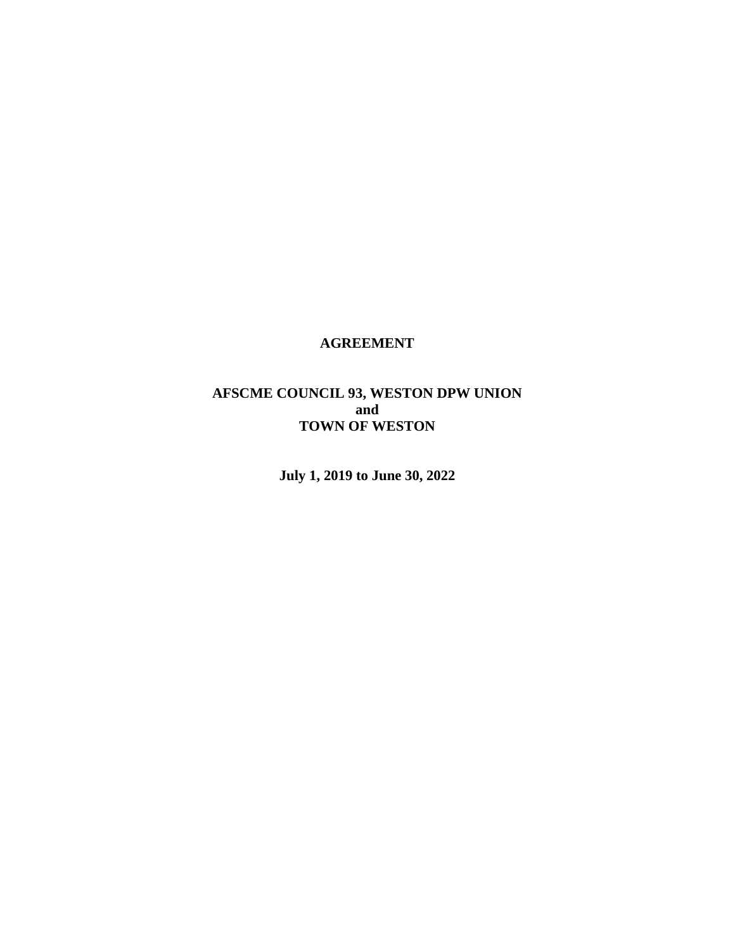## **AGREEMENT**

# **AFSCME COUNCIL 93, WESTON DPW UNION and TOWN OF WESTON**

**July 1, 2019 to June 30, 2022**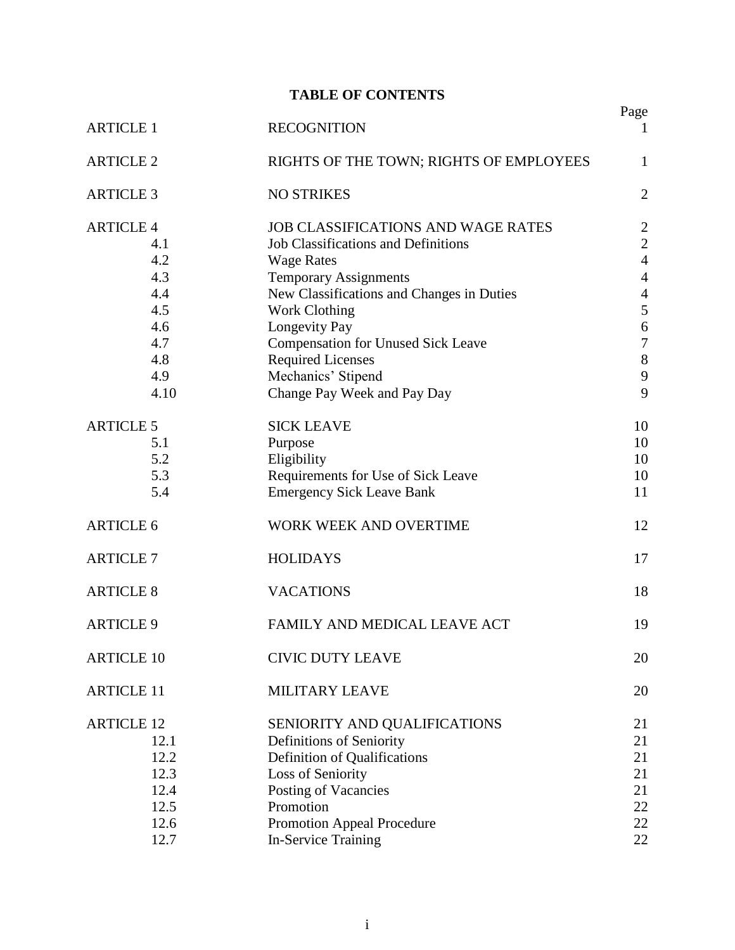# **TABLE OF CONTENTS**

| <b>ARTICLE 1</b>  |      | <b>RECOGNITION</b>                         | Page<br>$\mathbf{I}$             |
|-------------------|------|--------------------------------------------|----------------------------------|
| <b>ARTICLE 2</b>  |      | RIGHTS OF THE TOWN; RIGHTS OF EMPLOYEES    | 1                                |
| <b>ARTICLE 3</b>  |      | <b>NO STRIKES</b>                          | $\overline{2}$                   |
| <b>ARTICLE 4</b>  |      | JOB CLASSIFICATIONS AND WAGE RATES         |                                  |
|                   | 4.1  | <b>Job Classifications and Definitions</b> | $\overline{2}$<br>$\overline{2}$ |
|                   | 4.2  | <b>Wage Rates</b>                          | $\overline{4}$                   |
|                   | 4.3  | <b>Temporary Assignments</b>               | $\overline{4}$                   |
|                   | 4.4  | New Classifications and Changes in Duties  | $\overline{4}$                   |
|                   | 4.5  | <b>Work Clothing</b>                       | 5                                |
|                   | 4.6  | Longevity Pay                              | 6                                |
|                   | 4.7  | <b>Compensation for Unused Sick Leave</b>  | $\boldsymbol{7}$                 |
|                   | 4.8  | <b>Required Licenses</b>                   | 8                                |
|                   | 4.9  | Mechanics' Stipend                         | 9                                |
|                   | 4.10 | Change Pay Week and Pay Day                | 9                                |
|                   |      |                                            |                                  |
| <b>ARTICLE 5</b>  |      | <b>SICK LEAVE</b>                          | 10                               |
|                   | 5.1  | Purpose                                    | 10                               |
|                   | 5.2  | Eligibility                                | 10                               |
|                   | 5.3  | Requirements for Use of Sick Leave         | 10                               |
|                   | 5.4  | <b>Emergency Sick Leave Bank</b>           | 11                               |
|                   |      |                                            |                                  |
| <b>ARTICLE 6</b>  |      | WORK WEEK AND OVERTIME                     | 12                               |
| <b>ARTICLE 7</b>  |      | <b>HOLIDAYS</b>                            | 17                               |
| <b>ARTICLE 8</b>  |      | <b>VACATIONS</b>                           | 18                               |
| <b>ARTICLE 9</b>  |      | FAMILY AND MEDICAL LEAVE ACT               | 19                               |
| <b>ARTICLE 10</b> |      | <b>CIVIC DUTY LEAVE</b>                    | 20                               |
| <b>ARTICLE 11</b> |      | <b>MILITARY LEAVE</b>                      | 20                               |
|                   |      |                                            |                                  |
| <b>ARTICLE 12</b> |      | SENIORITY AND QUALIFICATIONS               | 21                               |
|                   | 12.1 | Definitions of Seniority                   | 21                               |
|                   | 12.2 | Definition of Qualifications               | 21                               |
|                   | 12.3 | Loss of Seniority                          | 21                               |
|                   | 12.4 | Posting of Vacancies                       | 21                               |
|                   | 12.5 | Promotion                                  | 22                               |
|                   | 12.6 | <b>Promotion Appeal Procedure</b>          | 22                               |
|                   | 12.7 | <b>In-Service Training</b>                 | 22                               |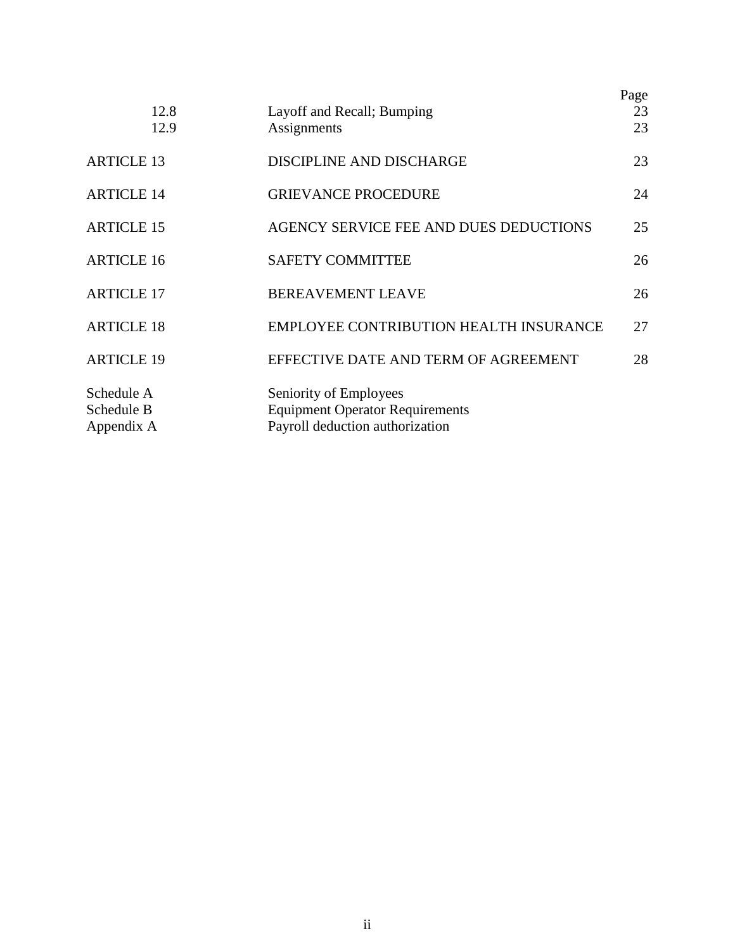|                                        | 12.8<br>12.9 | Layoff and Recall; Bumping<br>Assignments                                                           | Page<br>23<br>23 |
|----------------------------------------|--------------|-----------------------------------------------------------------------------------------------------|------------------|
| <b>ARTICLE 13</b>                      |              | DISCIPLINE AND DISCHARGE                                                                            | 23               |
| <b>ARTICLE 14</b>                      |              | <b>GRIEVANCE PROCEDURE</b>                                                                          | 24               |
| <b>ARTICLE 15</b>                      |              | AGENCY SERVICE FEE AND DUES DEDUCTIONS                                                              | 25               |
| <b>ARTICLE 16</b>                      |              | <b>SAFETY COMMITTEE</b>                                                                             | 26               |
| <b>ARTICLE 17</b>                      |              | <b>BEREAVEMENT LEAVE</b>                                                                            | 26               |
| <b>ARTICLE 18</b>                      |              | EMPLOYEE CONTRIBUTION HEALTH INSURANCE                                                              | 27               |
| <b>ARTICLE 19</b>                      |              | EFFECTIVE DATE AND TERM OF AGREEMENT                                                                | 28               |
| Schedule A<br>Schedule B<br>Appendix A |              | Seniority of Employees<br><b>Equipment Operator Requirements</b><br>Payroll deduction authorization |                  |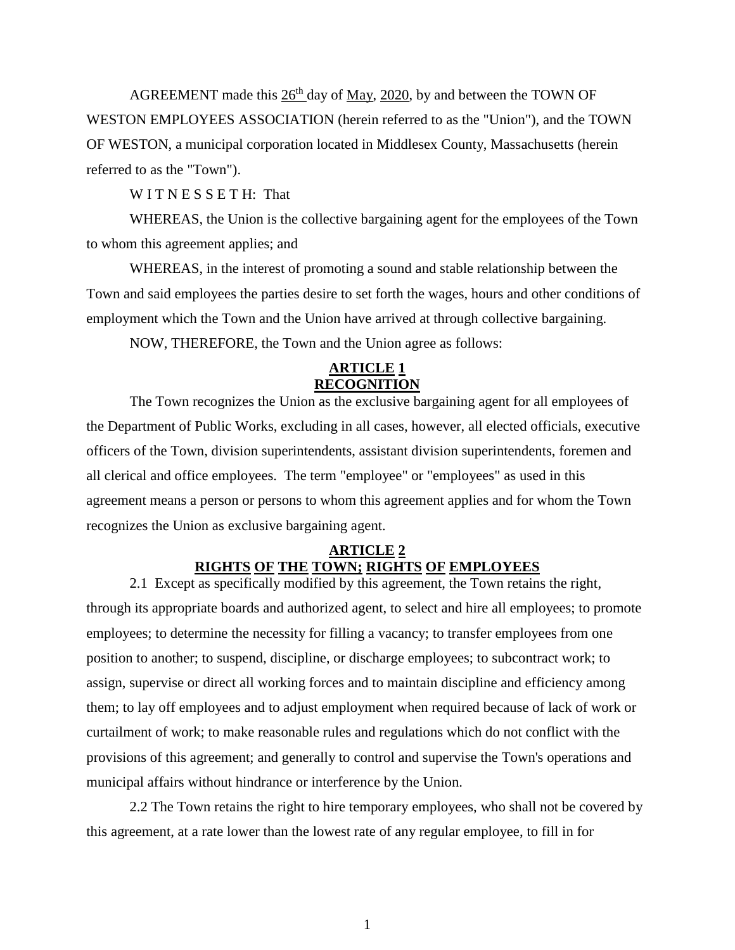AGREEMENT made this  $26<sup>th</sup>$  day of May, 2020, by and between the TOWN OF WESTON EMPLOYEES ASSOCIATION (herein referred to as the "Union"), and the TOWN OF WESTON, a municipal corporation located in Middlesex County, Massachusetts (herein referred to as the "Town").

WITNESSETH: That

WHEREAS, the Union is the collective bargaining agent for the employees of the Town to whom this agreement applies; and

WHEREAS, in the interest of promoting a sound and stable relationship between the Town and said employees the parties desire to set forth the wages, hours and other conditions of employment which the Town and the Union have arrived at through collective bargaining.

NOW, THEREFORE, the Town and the Union agree as follows:

### **ARTICLE 1 RECOGNITION**

The Town recognizes the Union as the exclusive bargaining agent for all employees of the Department of Public Works, excluding in all cases, however, all elected officials, executive officers of the Town, division superintendents, assistant division superintendents, foremen and all clerical and office employees. The term "employee" or "employees" as used in this agreement means a person or persons to whom this agreement applies and for whom the Town recognizes the Union as exclusive bargaining agent.

### **ARTICLE 2 RIGHTS OF THE TOWN; RIGHTS OF EMPLOYEES**

2.1 Except as specifically modified by this agreement, the Town retains the right, through its appropriate boards and authorized agent, to select and hire all employees; to promote employees; to determine the necessity for filling a vacancy; to transfer employees from one position to another; to suspend, discipline, or discharge employees; to subcontract work; to assign, supervise or direct all working forces and to maintain discipline and efficiency among them; to lay off employees and to adjust employment when required because of lack of work or curtailment of work; to make reasonable rules and regulations which do not conflict with the provisions of this agreement; and generally to control and supervise the Town's operations and municipal affairs without hindrance or interference by the Union.

2.2 The Town retains the right to hire temporary employees, who shall not be covered by this agreement, at a rate lower than the lowest rate of any regular employee, to fill in for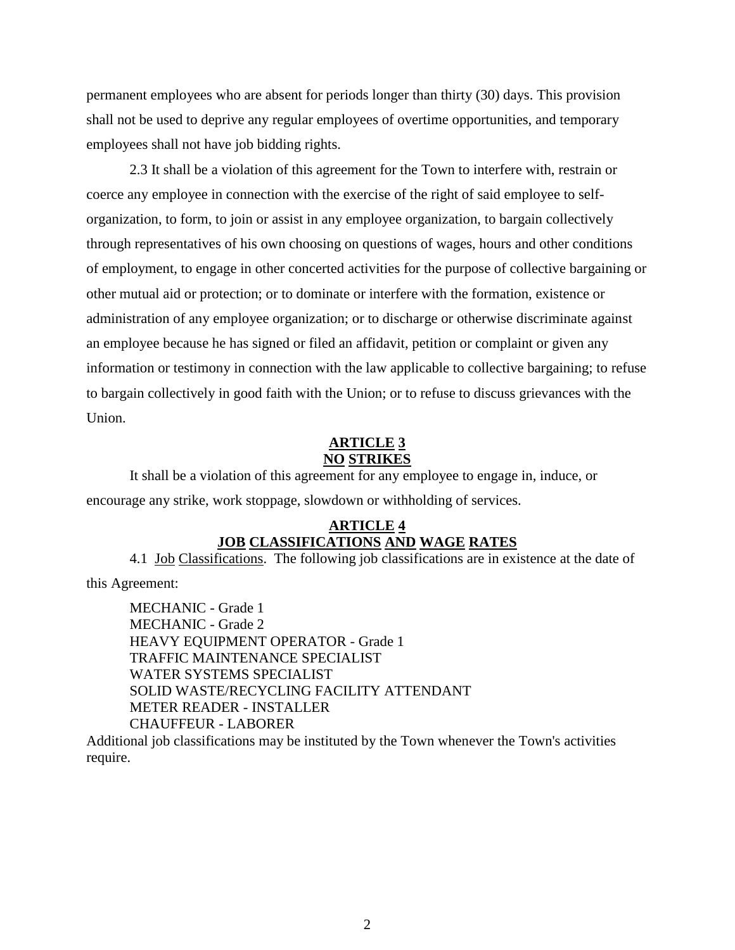permanent employees who are absent for periods longer than thirty (30) days. This provision shall not be used to deprive any regular employees of overtime opportunities, and temporary employees shall not have job bidding rights.

2.3 It shall be a violation of this agreement for the Town to interfere with, restrain or coerce any employee in connection with the exercise of the right of said employee to selforganization, to form, to join or assist in any employee organization, to bargain collectively through representatives of his own choosing on questions of wages, hours and other conditions of employment, to engage in other concerted activities for the purpose of collective bargaining or other mutual aid or protection; or to dominate or interfere with the formation, existence or administration of any employee organization; or to discharge or otherwise discriminate against an employee because he has signed or filed an affidavit, petition or complaint or given any information or testimony in connection with the law applicable to collective bargaining; to refuse to bargain collectively in good faith with the Union; or to refuse to discuss grievances with the Union.

### **ARTICLE 3 NO STRIKES**

It shall be a violation of this agreement for any employee to engage in, induce, or encourage any strike, work stoppage, slowdown or withholding of services.

## **ARTICLE 4 JOB CLASSIFICATIONS AND WAGE RATES**

4.1 Job Classifications. The following job classifications are in existence at the date of

this Agreement:

MECHANIC - Grade 1 MECHANIC - Grade 2 HEAVY EQUIPMENT OPERATOR - Grade 1 TRAFFIC MAINTENANCE SPECIALIST WATER SYSTEMS SPECIALIST SOLID WASTE/RECYCLING FACILITY ATTENDANT METER READER - INSTALLER CHAUFFEUR - LABORER

Additional job classifications may be instituted by the Town whenever the Town's activities require.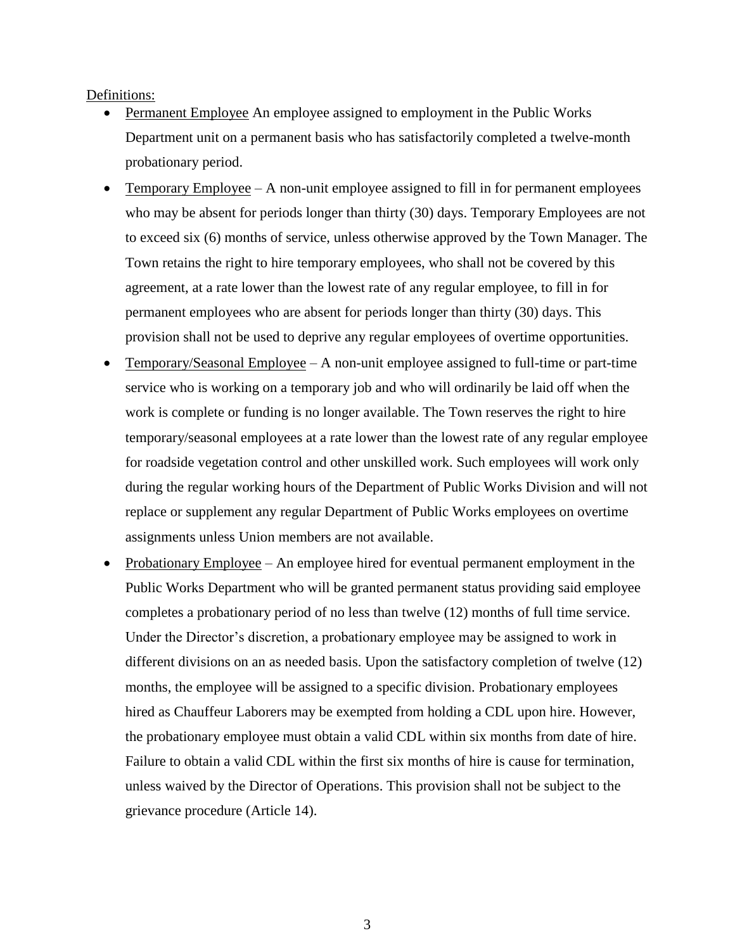#### Definitions:

- Permanent Employee An employee assigned to employment in the Public Works Department unit on a permanent basis who has satisfactorily completed a twelve-month probationary period.
- Temporary Employee  $A$  non-unit employee assigned to fill in for permanent employees who may be absent for periods longer than thirty (30) days. Temporary Employees are not to exceed six (6) months of service, unless otherwise approved by the Town Manager. The Town retains the right to hire temporary employees, who shall not be covered by this agreement, at a rate lower than the lowest rate of any regular employee, to fill in for permanent employees who are absent for periods longer than thirty (30) days. This provision shall not be used to deprive any regular employees of overtime opportunities.
- $Temporary/Seasonal Employee A non-unit employee assigned to full-time or part-time$ service who is working on a temporary job and who will ordinarily be laid off when the work is complete or funding is no longer available. The Town reserves the right to hire temporary/seasonal employees at a rate lower than the lowest rate of any regular employee for roadside vegetation control and other unskilled work. Such employees will work only during the regular working hours of the Department of Public Works Division and will not replace or supplement any regular Department of Public Works employees on overtime assignments unless Union members are not available.
- Probationary Employee An employee hired for eventual permanent employment in the Public Works Department who will be granted permanent status providing said employee completes a probationary period of no less than twelve (12) months of full time service. Under the Director's discretion, a probationary employee may be assigned to work in different divisions on an as needed basis. Upon the satisfactory completion of twelve (12) months, the employee will be assigned to a specific division. Probationary employees hired as Chauffeur Laborers may be exempted from holding a CDL upon hire. However, the probationary employee must obtain a valid CDL within six months from date of hire. Failure to obtain a valid CDL within the first six months of hire is cause for termination, unless waived by the Director of Operations. This provision shall not be subject to the grievance procedure (Article 14).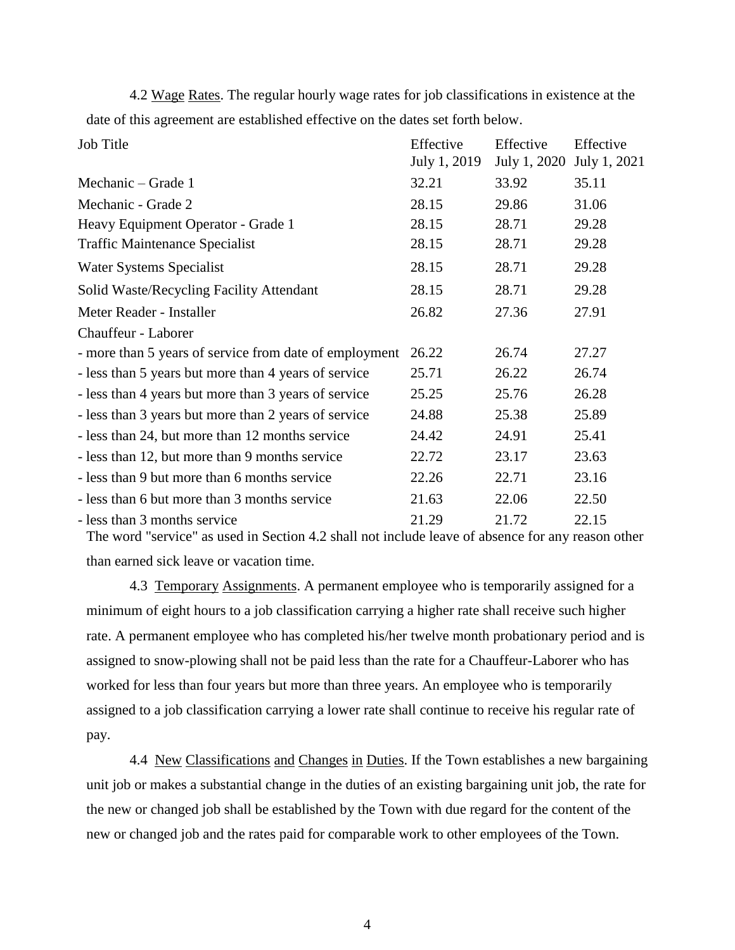4.2 Wage Rates. The regular hourly wage rates for job classifications in existence at the date of this agreement are established effective on the dates set forth below.

| Job Title                                              | Effective<br>July 1, 2019 | Effective<br>July 1, 2020 | Effective<br>July 1, 2021 |
|--------------------------------------------------------|---------------------------|---------------------------|---------------------------|
| Mechanic – Grade 1                                     | 32.21                     | 33.92                     | 35.11                     |
| Mechanic - Grade 2                                     | 28.15                     | 29.86                     | 31.06                     |
| Heavy Equipment Operator - Grade 1                     | 28.15                     | 28.71                     | 29.28                     |
| <b>Traffic Maintenance Specialist</b>                  | 28.15                     | 28.71                     | 29.28                     |
| Water Systems Specialist                               | 28.15                     | 28.71                     | 29.28                     |
| Solid Waste/Recycling Facility Attendant               | 28.15                     | 28.71                     | 29.28                     |
| Meter Reader - Installer                               | 26.82                     | 27.36                     | 27.91                     |
| Chauffeur - Laborer                                    |                           |                           |                           |
| - more than 5 years of service from date of employment | 26.22                     | 26.74                     | 27.27                     |
| - less than 5 years but more than 4 years of service   | 25.71                     | 26.22                     | 26.74                     |
| - less than 4 years but more than 3 years of service   | 25.25                     | 25.76                     | 26.28                     |
| - less than 3 years but more than 2 years of service   | 24.88                     | 25.38                     | 25.89                     |
| - less than 24, but more than 12 months service        | 24.42                     | 24.91                     | 25.41                     |
| - less than 12, but more than 9 months service         | 22.72                     | 23.17                     | 23.63                     |
| - less than 9 but more than 6 months service           | 22.26                     | 22.71                     | 23.16                     |
| - less than 6 but more than 3 months service           | 21.63                     | 22.06                     | 22.50                     |
| - less than 3 months service                           | 21.29                     | 21.72                     | 22.15                     |

The word "service" as used in Section 4.2 shall not include leave of absence for any reason other than earned sick leave or vacation time.

4.3 Temporary Assignments. A permanent employee who is temporarily assigned for a minimum of eight hours to a job classification carrying a higher rate shall receive such higher rate. A permanent employee who has completed his/her twelve month probationary period and is assigned to snow-plowing shall not be paid less than the rate for a Chauffeur-Laborer who has worked for less than four years but more than three years. An employee who is temporarily assigned to a job classification carrying a lower rate shall continue to receive his regular rate of pay.

4.4 New Classifications and Changes in Duties. If the Town establishes a new bargaining unit job or makes a substantial change in the duties of an existing bargaining unit job, the rate for the new or changed job shall be established by the Town with due regard for the content of the new or changed job and the rates paid for comparable work to other employees of the Town.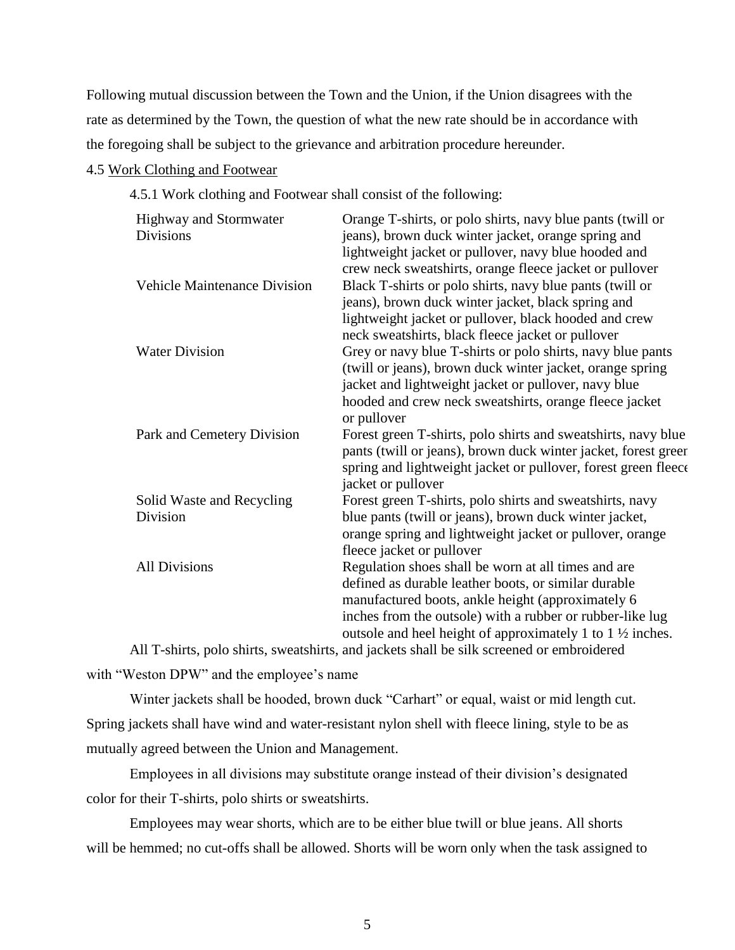Following mutual discussion between the Town and the Union, if the Union disagrees with the rate as determined by the Town, the question of what the new rate should be in accordance with the foregoing shall be subject to the grievance and arbitration procedure hereunder.

# 4.5 Work Clothing and Footwear

4.5.1 Work clothing and Footwear shall consist of the following:

| <b>Highway and Stormwater</b><br><b>Divisions</b> | Orange T-shirts, or polo shirts, navy blue pants (twill or<br>jeans), brown duck winter jacket, orange spring and<br>lightweight jacket or pullover, navy blue hooded and<br>crew neck sweatshirts, orange fleece jacket or pullover |
|---------------------------------------------------|--------------------------------------------------------------------------------------------------------------------------------------------------------------------------------------------------------------------------------------|
| <b>Vehicle Maintenance Division</b>               | Black T-shirts or polo shirts, navy blue pants (twill or<br>jeans), brown duck winter jacket, black spring and                                                                                                                       |
|                                                   | lightweight jacket or pullover, black hooded and crew<br>neck sweatshirts, black fleece jacket or pullover                                                                                                                           |
| <b>Water Division</b>                             | Grey or navy blue T-shirts or polo shirts, navy blue pants                                                                                                                                                                           |
|                                                   | (twill or jeans), brown duck winter jacket, orange spring                                                                                                                                                                            |
|                                                   | jacket and lightweight jacket or pullover, navy blue                                                                                                                                                                                 |
|                                                   | hooded and crew neck sweatshirts, orange fleece jacket                                                                                                                                                                               |
|                                                   | or pullover                                                                                                                                                                                                                          |
| Park and Cemetery Division                        | Forest green T-shirts, polo shirts and sweatshirts, navy blue                                                                                                                                                                        |
|                                                   | pants (twill or jeans), brown duck winter jacket, forest green                                                                                                                                                                       |
|                                                   | spring and lightweight jacket or pullover, forest green fleece                                                                                                                                                                       |
|                                                   | jacket or pullover                                                                                                                                                                                                                   |
| Solid Waste and Recycling                         | Forest green T-shirts, polo shirts and sweatshirts, navy                                                                                                                                                                             |
| Division                                          | blue pants (twill or jeans), brown duck winter jacket,                                                                                                                                                                               |
|                                                   | orange spring and lightweight jacket or pullover, orange                                                                                                                                                                             |
|                                                   | fleece jacket or pullover                                                                                                                                                                                                            |
| <b>All Divisions</b>                              | Regulation shoes shall be worn at all times and are                                                                                                                                                                                  |
|                                                   | defined as durable leather boots, or similar durable                                                                                                                                                                                 |
|                                                   | manufactured boots, ankle height (approximately 6                                                                                                                                                                                    |
|                                                   | inches from the outsole) with a rubber or rubber-like lug                                                                                                                                                                            |
|                                                   | outsole and heel height of approximately 1 to $1\frac{1}{2}$ inches.                                                                                                                                                                 |
|                                                   |                                                                                                                                                                                                                                      |

All T-shirts, polo shirts, sweatshirts, and jackets shall be silk screened or embroidered with "Weston DPW" and the employee's name

Winter jackets shall be hooded, brown duck "Carhart" or equal, waist or mid length cut. Spring jackets shall have wind and water-resistant nylon shell with fleece lining, style to be as mutually agreed between the Union and Management.

Employees in all divisions may substitute orange instead of their division's designated color for their T-shirts, polo shirts or sweatshirts.

Employees may wear shorts, which are to be either blue twill or blue jeans. All shorts will be hemmed; no cut-offs shall be allowed. Shorts will be worn only when the task assigned to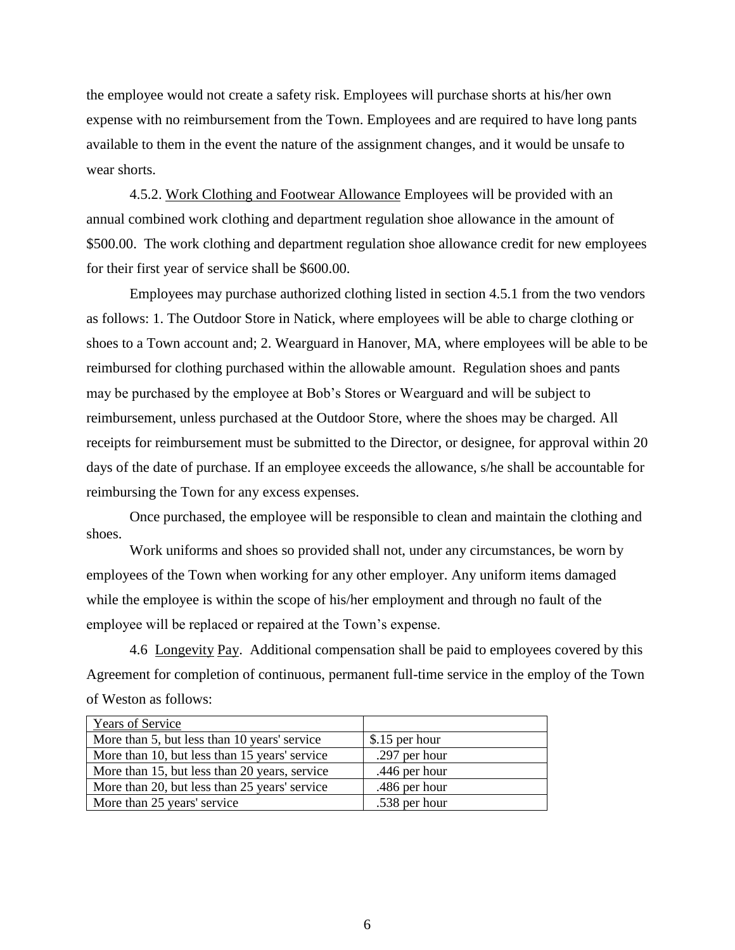the employee would not create a safety risk. Employees will purchase shorts at his/her own expense with no reimbursement from the Town. Employees and are required to have long pants available to them in the event the nature of the assignment changes, and it would be unsafe to wear shorts.

4.5.2. Work Clothing and Footwear Allowance Employees will be provided with an annual combined work clothing and department regulation shoe allowance in the amount of \$500.00. The work clothing and department regulation shoe allowance credit for new employees for their first year of service shall be \$600.00.

Employees may purchase authorized clothing listed in section 4.5.1 from the two vendors as follows: 1. The Outdoor Store in Natick, where employees will be able to charge clothing or shoes to a Town account and; 2. Wearguard in Hanover, MA, where employees will be able to be reimbursed for clothing purchased within the allowable amount. Regulation shoes and pants may be purchased by the employee at Bob's Stores or Wearguard and will be subject to reimbursement, unless purchased at the Outdoor Store, where the shoes may be charged. All receipts for reimbursement must be submitted to the Director, or designee, for approval within 20 days of the date of purchase. If an employee exceeds the allowance, s/he shall be accountable for reimbursing the Town for any excess expenses.

Once purchased, the employee will be responsible to clean and maintain the clothing and shoes.

Work uniforms and shoes so provided shall not, under any circumstances, be worn by employees of the Town when working for any other employer. Any uniform items damaged while the employee is within the scope of his/her employment and through no fault of the employee will be replaced or repaired at the Town's expense.

4.6 Longevity Pay. Additional compensation shall be paid to employees covered by this Agreement for completion of continuous, permanent full-time service in the employ of the Town of Weston as follows:

| <b>Years of Service</b>                       |                |
|-----------------------------------------------|----------------|
| More than 5, but less than 10 years' service  | \$.15 per hour |
| More than 10, but less than 15 years' service | .297 per hour  |
| More than 15, but less than 20 years, service | .446 per hour  |
| More than 20, but less than 25 years' service | .486 per hour  |
| More than 25 years' service                   | .538 per hour  |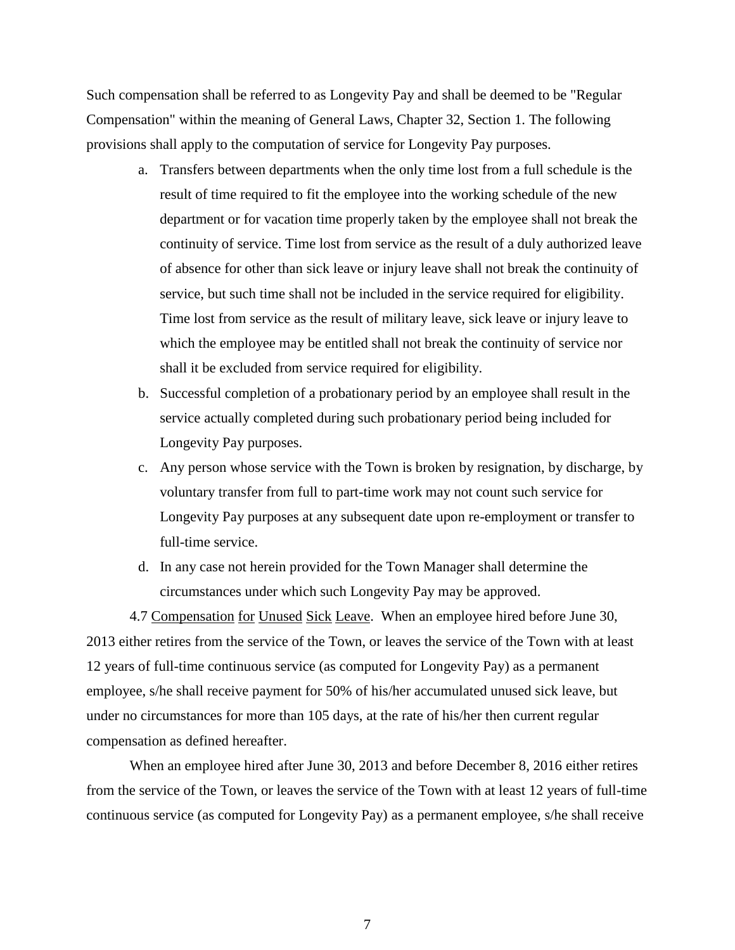Such compensation shall be referred to as Longevity Pay and shall be deemed to be "Regular Compensation" within the meaning of General Laws, Chapter 32, Section 1. The following provisions shall apply to the computation of service for Longevity Pay purposes.

- a. Transfers between departments when the only time lost from a full schedule is the result of time required to fit the employee into the working schedule of the new department or for vacation time properly taken by the employee shall not break the continuity of service. Time lost from service as the result of a duly authorized leave of absence for other than sick leave or injury leave shall not break the continuity of service, but such time shall not be included in the service required for eligibility. Time lost from service as the result of military leave, sick leave or injury leave to which the employee may be entitled shall not break the continuity of service nor shall it be excluded from service required for eligibility.
- b. Successful completion of a probationary period by an employee shall result in the service actually completed during such probationary period being included for Longevity Pay purposes.
- c. Any person whose service with the Town is broken by resignation, by discharge, by voluntary transfer from full to part-time work may not count such service for Longevity Pay purposes at any subsequent date upon re-employment or transfer to full-time service.
- d. In any case not herein provided for the Town Manager shall determine the circumstances under which such Longevity Pay may be approved.

4.7 Compensation for Unused Sick Leave. When an employee hired before June 30, 2013 either retires from the service of the Town, or leaves the service of the Town with at least 12 years of full-time continuous service (as computed for Longevity Pay) as a permanent employee, s/he shall receive payment for 50% of his/her accumulated unused sick leave, but under no circumstances for more than 105 days, at the rate of his/her then current regular compensation as defined hereafter.

When an employee hired after June 30, 2013 and before December 8, 2016 either retires from the service of the Town, or leaves the service of the Town with at least 12 years of full-time continuous service (as computed for Longevity Pay) as a permanent employee, s/he shall receive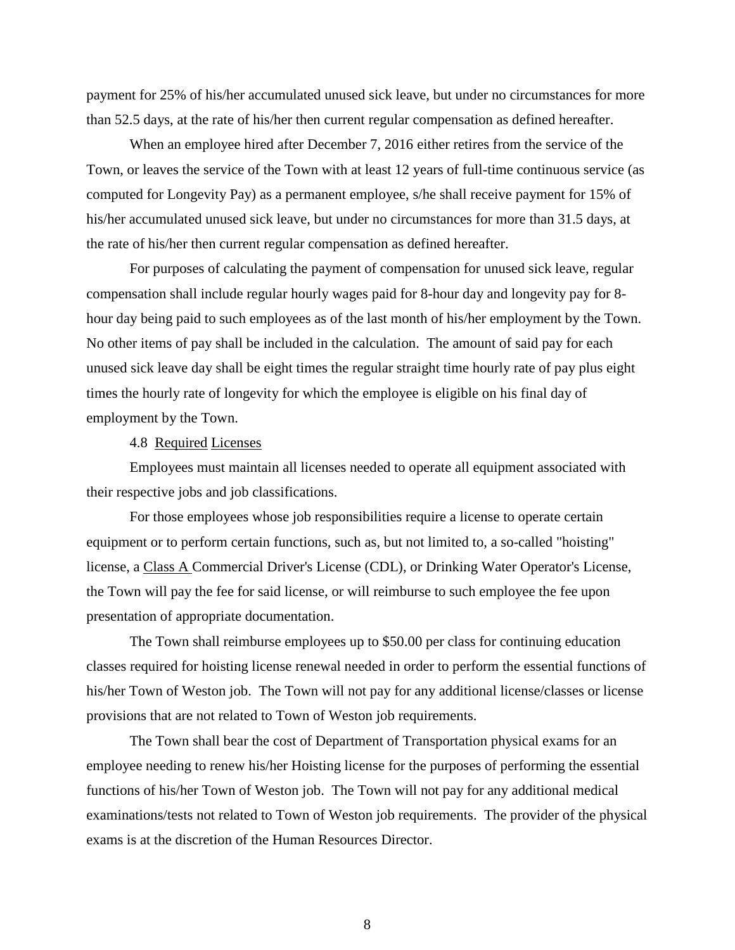payment for 25% of his/her accumulated unused sick leave, but under no circumstances for more than 52.5 days, at the rate of his/her then current regular compensation as defined hereafter.

When an employee hired after December 7, 2016 either retires from the service of the Town, or leaves the service of the Town with at least 12 years of full-time continuous service (as computed for Longevity Pay) as a permanent employee, s/he shall receive payment for 15% of his/her accumulated unused sick leave, but under no circumstances for more than 31.5 days, at the rate of his/her then current regular compensation as defined hereafter.

For purposes of calculating the payment of compensation for unused sick leave, regular compensation shall include regular hourly wages paid for 8-hour day and longevity pay for 8 hour day being paid to such employees as of the last month of his/her employment by the Town. No other items of pay shall be included in the calculation. The amount of said pay for each unused sick leave day shall be eight times the regular straight time hourly rate of pay plus eight times the hourly rate of longevity for which the employee is eligible on his final day of employment by the Town.

#### 4.8 Required Licenses

Employees must maintain all licenses needed to operate all equipment associated with their respective jobs and job classifications.

For those employees whose job responsibilities require a license to operate certain equipment or to perform certain functions, such as, but not limited to, a so-called "hoisting" license, a Class A Commercial Driver's License (CDL), or Drinking Water Operator's License, the Town will pay the fee for said license, or will reimburse to such employee the fee upon presentation of appropriate documentation.

The Town shall reimburse employees up to \$50.00 per class for continuing education classes required for hoisting license renewal needed in order to perform the essential functions of his/her Town of Weston job. The Town will not pay for any additional license/classes or license provisions that are not related to Town of Weston job requirements.

The Town shall bear the cost of Department of Transportation physical exams for an employee needing to renew his/her Hoisting license for the purposes of performing the essential functions of his/her Town of Weston job. The Town will not pay for any additional medical examinations/tests not related to Town of Weston job requirements. The provider of the physical exams is at the discretion of the Human Resources Director.

8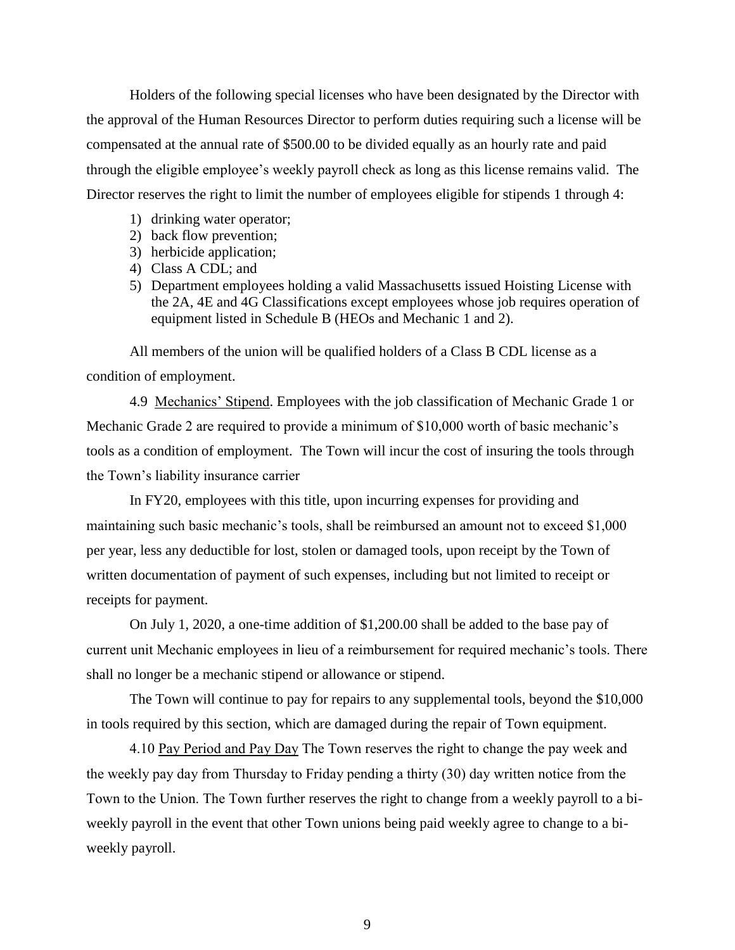Holders of the following special licenses who have been designated by the Director with the approval of the Human Resources Director to perform duties requiring such a license will be compensated at the annual rate of \$500.00 to be divided equally as an hourly rate and paid through the eligible employee's weekly payroll check as long as this license remains valid. The Director reserves the right to limit the number of employees eligible for stipends 1 through 4:

- 1) drinking water operator;
- 2) back flow prevention;
- 3) herbicide application;
- 4) Class A CDL; and
- 5) Department employees holding a valid Massachusetts issued Hoisting License with the 2A, 4E and 4G Classifications except employees whose job requires operation of equipment listed in Schedule B (HEOs and Mechanic 1 and 2).

All members of the union will be qualified holders of a Class B CDL license as a condition of employment.

4.9 Mechanics' Stipend. Employees with the job classification of Mechanic Grade 1 or Mechanic Grade 2 are required to provide a minimum of \$10,000 worth of basic mechanic's tools as a condition of employment. The Town will incur the cost of insuring the tools through the Town's liability insurance carrier

In FY20, employees with this title, upon incurring expenses for providing and maintaining such basic mechanic's tools, shall be reimbursed an amount not to exceed \$1,000 per year, less any deductible for lost, stolen or damaged tools, upon receipt by the Town of written documentation of payment of such expenses, including but not limited to receipt or receipts for payment.

On July 1, 2020, a one-time addition of \$1,200.00 shall be added to the base pay of current unit Mechanic employees in lieu of a reimbursement for required mechanic's tools. There shall no longer be a mechanic stipend or allowance or stipend.

The Town will continue to pay for repairs to any supplemental tools, beyond the \$10,000 in tools required by this section, which are damaged during the repair of Town equipment.

4.10 Pay Period and Pay Day The Town reserves the right to change the pay week and the weekly pay day from Thursday to Friday pending a thirty (30) day written notice from the Town to the Union. The Town further reserves the right to change from a weekly payroll to a biweekly payroll in the event that other Town unions being paid weekly agree to change to a biweekly payroll.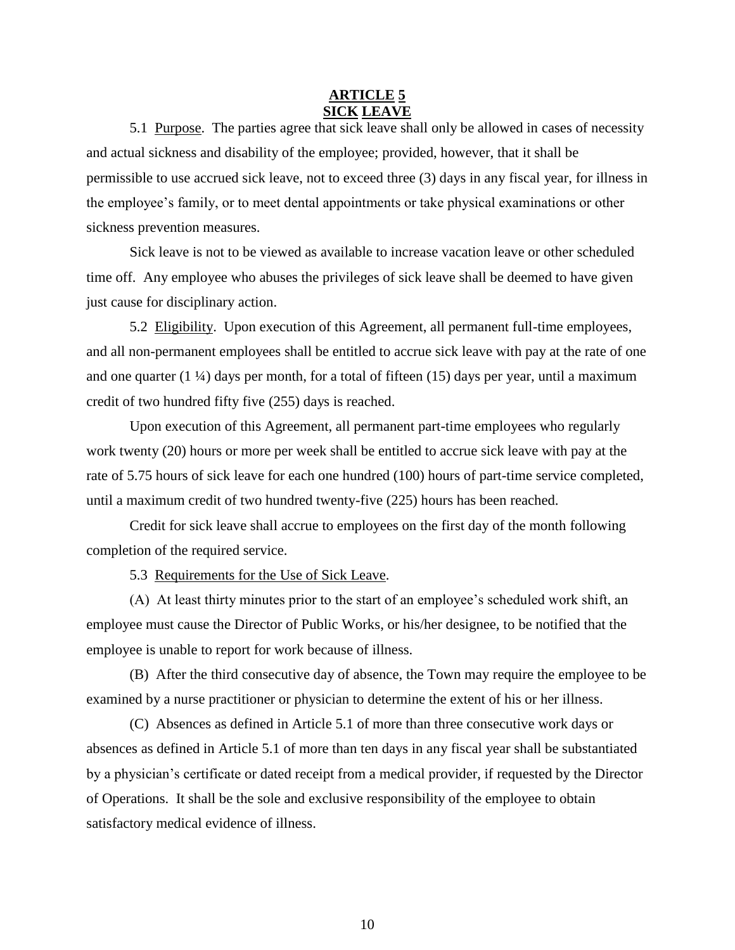## **ARTICLE 5 SICK LEAVE**

5.1 Purpose. The parties agree that sick leave shall only be allowed in cases of necessity and actual sickness and disability of the employee; provided, however, that it shall be permissible to use accrued sick leave, not to exceed three (3) days in any fiscal year, for illness in the employee's family, or to meet dental appointments or take physical examinations or other sickness prevention measures.

Sick leave is not to be viewed as available to increase vacation leave or other scheduled time off. Any employee who abuses the privileges of sick leave shall be deemed to have given just cause for disciplinary action.

5.2 Eligibility. Upon execution of this Agreement, all permanent full-time employees, and all non-permanent employees shall be entitled to accrue sick leave with pay at the rate of one and one quarter  $(1 \frac{1}{4})$  days per month, for a total of fifteen (15) days per year, until a maximum credit of two hundred fifty five (255) days is reached.

Upon execution of this Agreement, all permanent part-time employees who regularly work twenty (20) hours or more per week shall be entitled to accrue sick leave with pay at the rate of 5.75 hours of sick leave for each one hundred (100) hours of part-time service completed, until a maximum credit of two hundred twenty-five (225) hours has been reached.

Credit for sick leave shall accrue to employees on the first day of the month following completion of the required service.

5.3 Requirements for the Use of Sick Leave.

(A) At least thirty minutes prior to the start of an employee's scheduled work shift, an employee must cause the Director of Public Works, or his/her designee, to be notified that the employee is unable to report for work because of illness.

(B) After the third consecutive day of absence, the Town may require the employee to be examined by a nurse practitioner or physician to determine the extent of his or her illness.

(C) Absences as defined in Article 5.1 of more than three consecutive work days or absences as defined in Article 5.1 of more than ten days in any fiscal year shall be substantiated by a physician's certificate or dated receipt from a medical provider, if requested by the Director of Operations. It shall be the sole and exclusive responsibility of the employee to obtain satisfactory medical evidence of illness.

10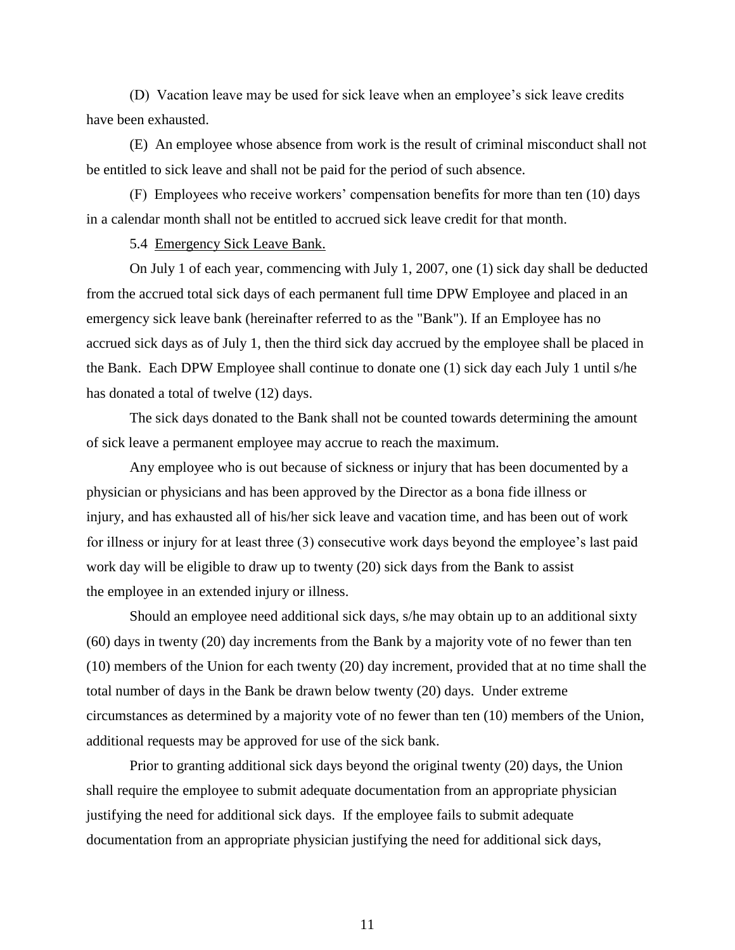(D) Vacation leave may be used for sick leave when an employee's sick leave credits have been exhausted.

(E) An employee whose absence from work is the result of criminal misconduct shall not be entitled to sick leave and shall not be paid for the period of such absence.

(F) Employees who receive workers' compensation benefits for more than ten (10) days in a calendar month shall not be entitled to accrued sick leave credit for that month.

5.4 Emergency Sick Leave Bank.

On July 1 of each year, commencing with July 1, 2007, one (1) sick day shall be deducted from the accrued total sick days of each permanent full time DPW Employee and placed in an emergency sick leave bank (hereinafter referred to as the "Bank"). If an Employee has no accrued sick days as of July 1, then the third sick day accrued by the employee shall be placed in the Bank. Each DPW Employee shall continue to donate one (1) sick day each July 1 until s/he has donated a total of twelve (12) days.

The sick days donated to the Bank shall not be counted towards determining the amount of sick leave a permanent employee may accrue to reach the maximum.

Any employee who is out because of sickness or injury that has been documented by a physician or physicians and has been approved by the Director as a bona fide illness or injury, and has exhausted all of his/her sick leave and vacation time, and has been out of work for illness or injury for at least three (3) consecutive work days beyond the employee's last paid work day will be eligible to draw up to twenty (20) sick days from the Bank to assist the employee in an extended injury or illness.

Should an employee need additional sick days, s/he may obtain up to an additional sixty (60) days in twenty (20) day increments from the Bank by a majority vote of no fewer than ten (10) members of the Union for each twenty (20) day increment, provided that at no time shall the total number of days in the Bank be drawn below twenty (20) days. Under extreme circumstances as determined by a majority vote of no fewer than ten (10) members of the Union, additional requests may be approved for use of the sick bank.

Prior to granting additional sick days beyond the original twenty (20) days, the Union shall require the employee to submit adequate documentation from an appropriate physician justifying the need for additional sick days. If the employee fails to submit adequate documentation from an appropriate physician justifying the need for additional sick days,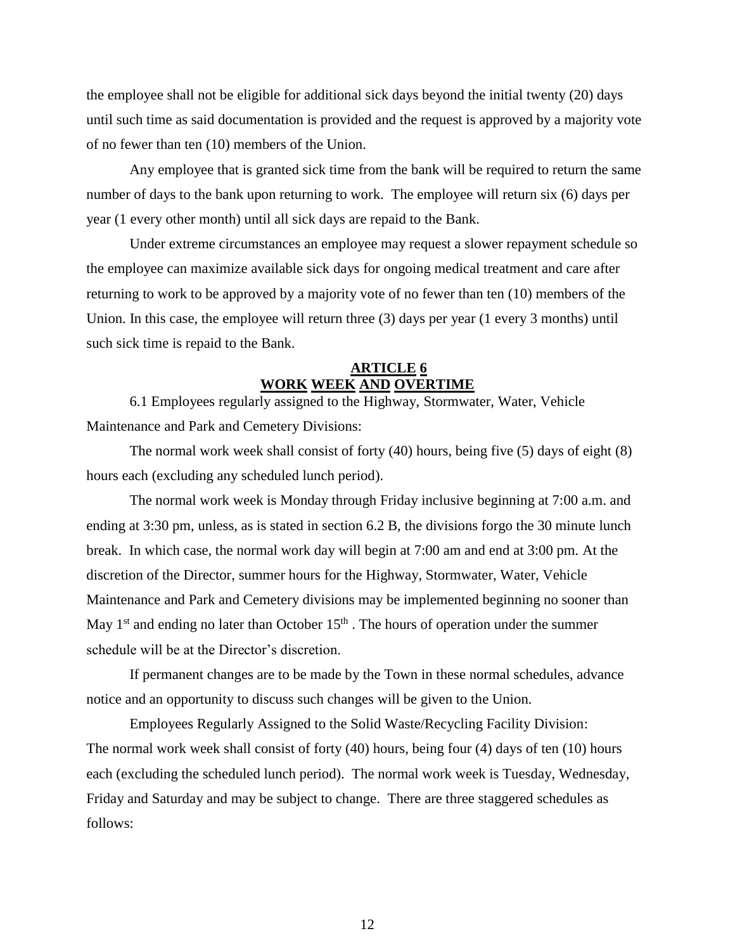the employee shall not be eligible for additional sick days beyond the initial twenty (20) days until such time as said documentation is provided and the request is approved by a majority vote of no fewer than ten (10) members of the Union.

Any employee that is granted sick time from the bank will be required to return the same number of days to the bank upon returning to work. The employee will return six (6) days per year (1 every other month) until all sick days are repaid to the Bank.

Under extreme circumstances an employee may request a slower repayment schedule so the employee can maximize available sick days for ongoing medical treatment and care after returning to work to be approved by a majority vote of no fewer than ten (10) members of the Union. In this case, the employee will return three (3) days per year (1 every 3 months) until such sick time is repaid to the Bank.

## **ARTICLE 6 WORK WEEK AND OVERTIME**

6.1 Employees regularly assigned to the Highway, Stormwater, Water, Vehicle Maintenance and Park and Cemetery Divisions:

The normal work week shall consist of forty (40) hours, being five (5) days of eight (8) hours each (excluding any scheduled lunch period).

The normal work week is Monday through Friday inclusive beginning at 7:00 a.m. and ending at 3:30 pm, unless, as is stated in section 6.2 B, the divisions forgo the 30 minute lunch break. In which case, the normal work day will begin at 7:00 am and end at 3:00 pm. At the discretion of the Director, summer hours for the Highway, Stormwater, Water, Vehicle Maintenance and Park and Cemetery divisions may be implemented beginning no sooner than May  $1<sup>st</sup>$  and ending no later than October  $15<sup>th</sup>$ . The hours of operation under the summer schedule will be at the Director's discretion.

If permanent changes are to be made by the Town in these normal schedules, advance notice and an opportunity to discuss such changes will be given to the Union.

Employees Regularly Assigned to the Solid Waste/Recycling Facility Division: The normal work week shall consist of forty (40) hours, being four (4) days of ten (10) hours each (excluding the scheduled lunch period). The normal work week is Tuesday, Wednesday, Friday and Saturday and may be subject to change. There are three staggered schedules as follows: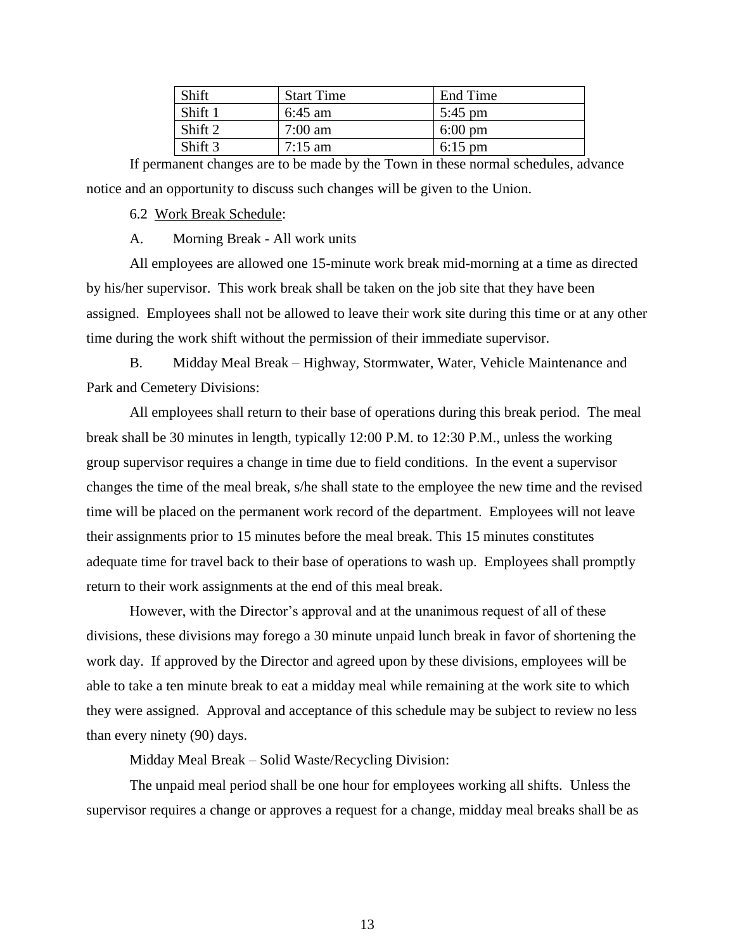| <b>Shift</b> | <b>Start Time</b> | End Time          |
|--------------|-------------------|-------------------|
| Shift 1      | $6:45$ am         | $5:45$ pm         |
| Shift 2      | $7:00 \text{ am}$ | $6:00 \text{ pm}$ |
| Shift 3      | $7:15 \text{ am}$ | $6:15 \text{ pm}$ |

If permanent changes are to be made by the Town in these normal schedules, advance notice and an opportunity to discuss such changes will be given to the Union.

6.2 Work Break Schedule:

A. Morning Break - All work units

All employees are allowed one 15-minute work break mid-morning at a time as directed by his/her supervisor. This work break shall be taken on the job site that they have been assigned. Employees shall not be allowed to leave their work site during this time or at any other time during the work shift without the permission of their immediate supervisor.

B. Midday Meal Break – Highway, Stormwater, Water, Vehicle Maintenance and Park and Cemetery Divisions:

All employees shall return to their base of operations during this break period. The meal break shall be 30 minutes in length, typically 12:00 P.M. to 12:30 P.M., unless the working group supervisor requires a change in time due to field conditions. In the event a supervisor changes the time of the meal break, s/he shall state to the employee the new time and the revised time will be placed on the permanent work record of the department. Employees will not leave their assignments prior to 15 minutes before the meal break. This 15 minutes constitutes adequate time for travel back to their base of operations to wash up. Employees shall promptly return to their work assignments at the end of this meal break.

However, with the Director's approval and at the unanimous request of all of these divisions, these divisions may forego a 30 minute unpaid lunch break in favor of shortening the work day. If approved by the Director and agreed upon by these divisions, employees will be able to take a ten minute break to eat a midday meal while remaining at the work site to which they were assigned. Approval and acceptance of this schedule may be subject to review no less than every ninety (90) days.

Midday Meal Break – Solid Waste/Recycling Division:

The unpaid meal period shall be one hour for employees working all shifts. Unless the supervisor requires a change or approves a request for a change, midday meal breaks shall be as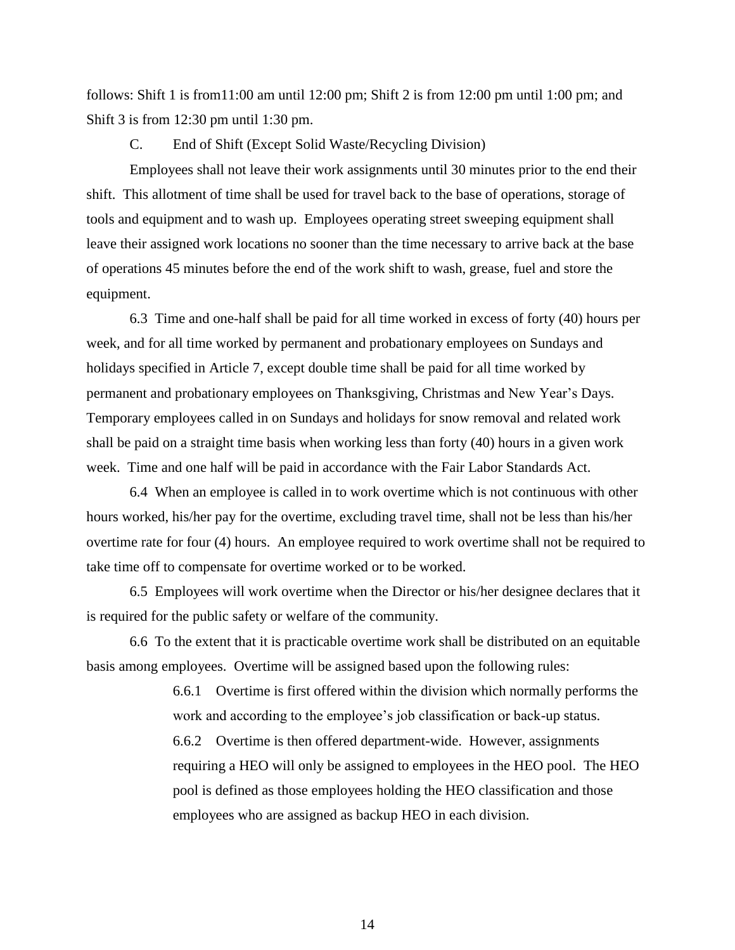follows: Shift 1 is from 11:00 am until 12:00 pm; Shift 2 is from 12:00 pm until 1:00 pm; and Shift 3 is from 12:30 pm until 1:30 pm.

C. End of Shift (Except Solid Waste/Recycling Division)

Employees shall not leave their work assignments until 30 minutes prior to the end their shift. This allotment of time shall be used for travel back to the base of operations, storage of tools and equipment and to wash up. Employees operating street sweeping equipment shall leave their assigned work locations no sooner than the time necessary to arrive back at the base of operations 45 minutes before the end of the work shift to wash, grease, fuel and store the equipment.

6.3 Time and one-half shall be paid for all time worked in excess of forty (40) hours per week, and for all time worked by permanent and probationary employees on Sundays and holidays specified in Article 7, except double time shall be paid for all time worked by permanent and probationary employees on Thanksgiving, Christmas and New Year's Days. Temporary employees called in on Sundays and holidays for snow removal and related work shall be paid on a straight time basis when working less than forty (40) hours in a given work week. Time and one half will be paid in accordance with the Fair Labor Standards Act.

6.4 When an employee is called in to work overtime which is not continuous with other hours worked, his/her pay for the overtime, excluding travel time, shall not be less than his/her overtime rate for four (4) hours. An employee required to work overtime shall not be required to take time off to compensate for overtime worked or to be worked.

6.5 Employees will work overtime when the Director or his/her designee declares that it is required for the public safety or welfare of the community.

6.6 To the extent that it is practicable overtime work shall be distributed on an equitable basis among employees. Overtime will be assigned based upon the following rules:

> 6.6.1 Overtime is first offered within the division which normally performs the work and according to the employee's job classification or back-up status.

> 6.6.2 Overtime is then offered department-wide. However, assignments requiring a HEO will only be assigned to employees in the HEO pool. The HEO pool is defined as those employees holding the HEO classification and those employees who are assigned as backup HEO in each division.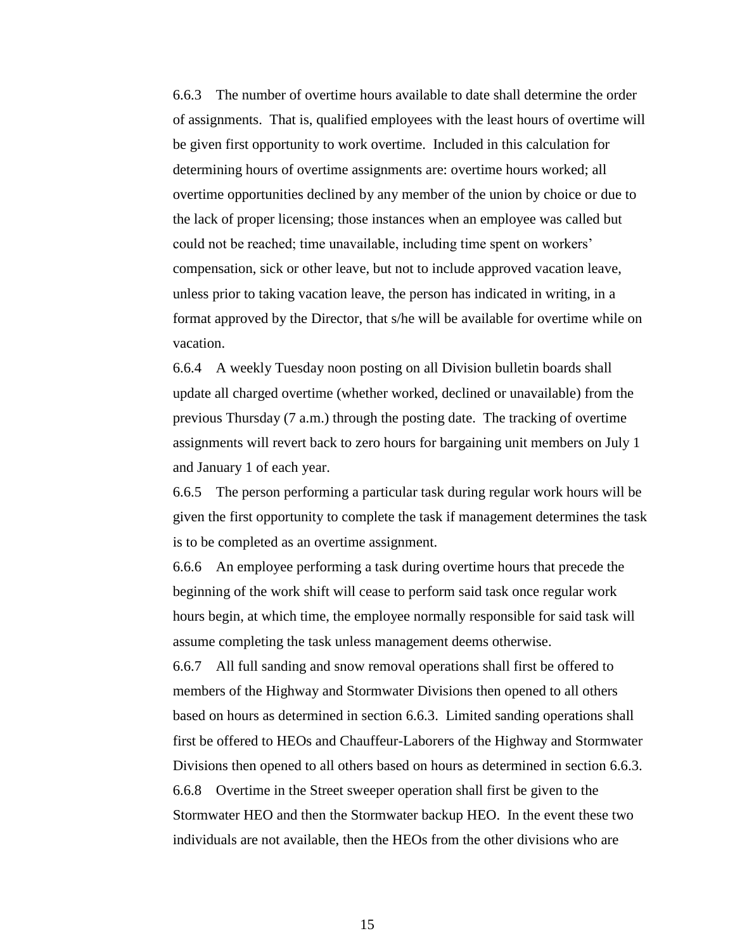6.6.3 The number of overtime hours available to date shall determine the order of assignments. That is, qualified employees with the least hours of overtime will be given first opportunity to work overtime. Included in this calculation for determining hours of overtime assignments are: overtime hours worked; all overtime opportunities declined by any member of the union by choice or due to the lack of proper licensing; those instances when an employee was called but could not be reached; time unavailable, including time spent on workers' compensation, sick or other leave, but not to include approved vacation leave, unless prior to taking vacation leave, the person has indicated in writing, in a format approved by the Director, that s/he will be available for overtime while on vacation.

6.6.4 A weekly Tuesday noon posting on all Division bulletin boards shall update all charged overtime (whether worked, declined or unavailable) from the previous Thursday (7 a.m.) through the posting date. The tracking of overtime assignments will revert back to zero hours for bargaining unit members on July 1 and January 1 of each year.

6.6.5 The person performing a particular task during regular work hours will be given the first opportunity to complete the task if management determines the task is to be completed as an overtime assignment.

6.6.6 An employee performing a task during overtime hours that precede the beginning of the work shift will cease to perform said task once regular work hours begin, at which time, the employee normally responsible for said task will assume completing the task unless management deems otherwise.

6.6.7 All full sanding and snow removal operations shall first be offered to members of the Highway and Stormwater Divisions then opened to all others based on hours as determined in section 6.6.3. Limited sanding operations shall first be offered to HEOs and Chauffeur-Laborers of the Highway and Stormwater Divisions then opened to all others based on hours as determined in section 6.6.3. 6.6.8 Overtime in the Street sweeper operation shall first be given to the Stormwater HEO and then the Stormwater backup HEO. In the event these two individuals are not available, then the HEOs from the other divisions who are

15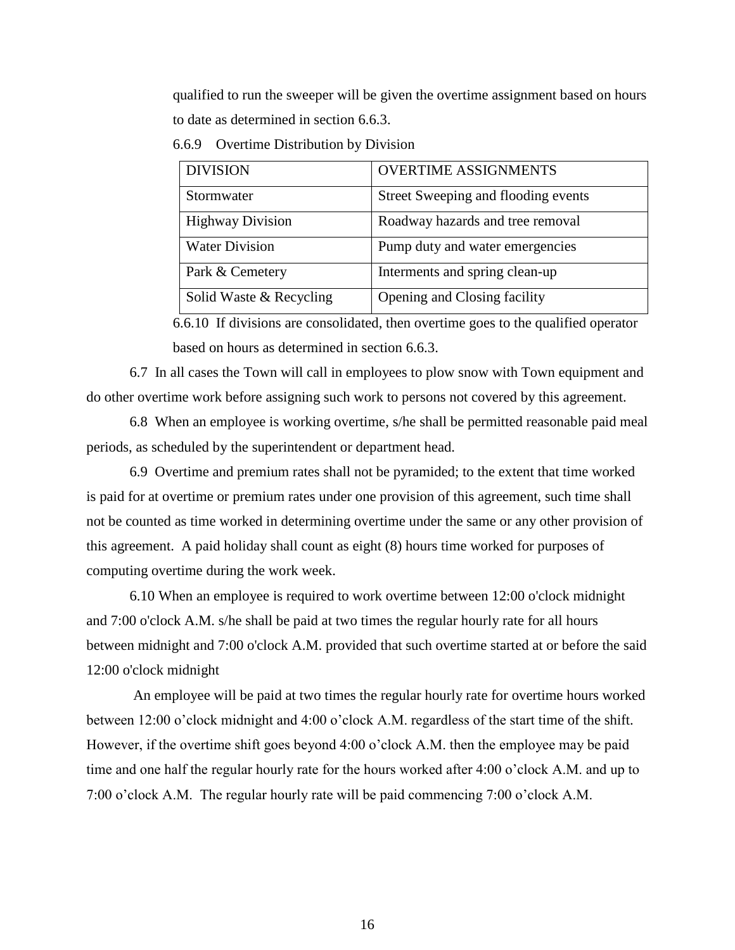qualified to run the sweeper will be given the overtime assignment based on hours to date as determined in section 6.6.3.

| <b>DIVISION</b>         | <b>OVERTIME ASSIGNMENTS</b>         |
|-------------------------|-------------------------------------|
| Stormwater              | Street Sweeping and flooding events |
| <b>Highway Division</b> | Roadway hazards and tree removal    |
| <b>Water Division</b>   | Pump duty and water emergencies     |
| Park & Cemetery         | Interments and spring clean-up      |
| Solid Waste & Recycling | Opening and Closing facility        |

6.6.9 Overtime Distribution by Division

6.6.10 If divisions are consolidated, then overtime goes to the qualified operator based on hours as determined in section 6.6.3.

6.7 In all cases the Town will call in employees to plow snow with Town equipment and do other overtime work before assigning such work to persons not covered by this agreement.

6.8 When an employee is working overtime, s/he shall be permitted reasonable paid meal periods, as scheduled by the superintendent or department head.

6.9 Overtime and premium rates shall not be pyramided; to the extent that time worked is paid for at overtime or premium rates under one provision of this agreement, such time shall not be counted as time worked in determining overtime under the same or any other provision of this agreement. A paid holiday shall count as eight (8) hours time worked for purposes of computing overtime during the work week.

6.10 When an employee is required to work overtime between 12:00 o'clock midnight and 7:00 o'clock A.M. s/he shall be paid at two times the regular hourly rate for all hours between midnight and 7:00 o'clock A.M. provided that such overtime started at or before the said 12:00 o'clock midnight

An employee will be paid at two times the regular hourly rate for overtime hours worked between 12:00 o'clock midnight and 4:00 o'clock A.M. regardless of the start time of the shift. However, if the overtime shift goes beyond 4:00 o'clock A.M. then the employee may be paid time and one half the regular hourly rate for the hours worked after 4:00 o'clock A.M. and up to 7:00 o'clock A.M. The regular hourly rate will be paid commencing 7:00 o'clock A.M.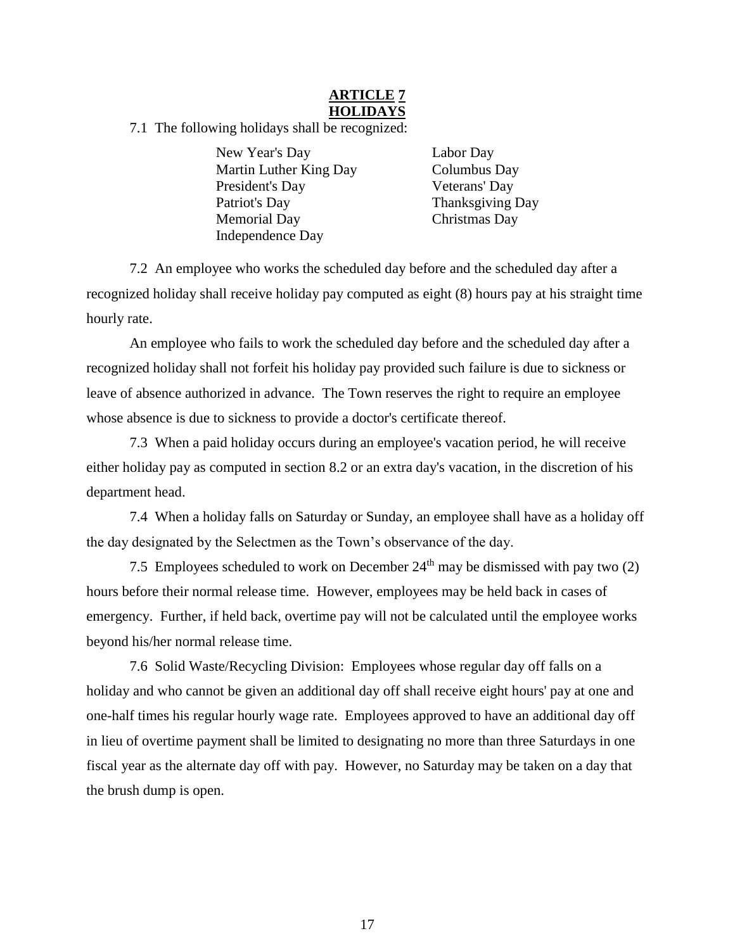## **ARTICLE 7 HOLIDAYS**

7.1 The following holidays shall be recognized:

New Year's Day Labor Day Martin Luther King Day Columbus Day President's Day Veterans' Day Patriot's Day Thanksgiving Day Memorial Day Christmas Day Independence Day

7.2 An employee who works the scheduled day before and the scheduled day after a recognized holiday shall receive holiday pay computed as eight (8) hours pay at his straight time hourly rate.

An employee who fails to work the scheduled day before and the scheduled day after a recognized holiday shall not forfeit his holiday pay provided such failure is due to sickness or leave of absence authorized in advance. The Town reserves the right to require an employee whose absence is due to sickness to provide a doctor's certificate thereof.

7.3 When a paid holiday occurs during an employee's vacation period, he will receive either holiday pay as computed in section 8.2 or an extra day's vacation, in the discretion of his department head.

7.4 When a holiday falls on Saturday or Sunday, an employee shall have as a holiday off the day designated by the Selectmen as the Town's observance of the day.

7.5 Employees scheduled to work on December  $24<sup>th</sup>$  may be dismissed with pay two (2) hours before their normal release time. However, employees may be held back in cases of emergency. Further, if held back, overtime pay will not be calculated until the employee works beyond his/her normal release time.

7.6 Solid Waste/Recycling Division: Employees whose regular day off falls on a holiday and who cannot be given an additional day off shall receive eight hours' pay at one and one-half times his regular hourly wage rate. Employees approved to have an additional day off in lieu of overtime payment shall be limited to designating no more than three Saturdays in one fiscal year as the alternate day off with pay. However, no Saturday may be taken on a day that the brush dump is open.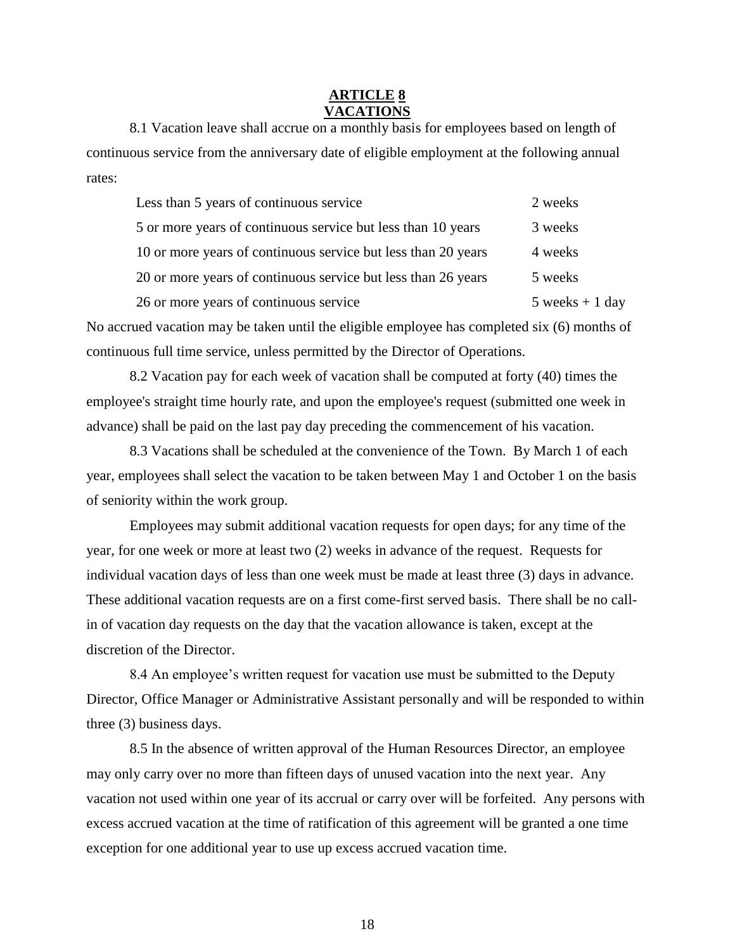### **ARTICLE 8 VACATIONS**

8.1 Vacation leave shall accrue on a monthly basis for employees based on length of continuous service from the anniversary date of eligible employment at the following annual rates:

| Less than 5 years of continuous service                       | 2 weeks          |
|---------------------------------------------------------------|------------------|
| 5 or more years of continuous service but less than 10 years  | 3 weeks          |
| 10 or more years of continuous service but less than 20 years | 4 weeks          |
| 20 or more years of continuous service but less than 26 years | 5 weeks          |
| 26 or more years of continuous service                        | 5 weeks $+1$ day |

No accrued vacation may be taken until the eligible employee has completed six (6) months of continuous full time service, unless permitted by the Director of Operations.

8.2 Vacation pay for each week of vacation shall be computed at forty (40) times the employee's straight time hourly rate, and upon the employee's request (submitted one week in advance) shall be paid on the last pay day preceding the commencement of his vacation.

8.3 Vacations shall be scheduled at the convenience of the Town. By March 1 of each year, employees shall select the vacation to be taken between May 1 and October 1 on the basis of seniority within the work group.

Employees may submit additional vacation requests for open days; for any time of the year, for one week or more at least two (2) weeks in advance of the request. Requests for individual vacation days of less than one week must be made at least three (3) days in advance. These additional vacation requests are on a first come-first served basis. There shall be no callin of vacation day requests on the day that the vacation allowance is taken, except at the discretion of the Director.

8.4 An employee's written request for vacation use must be submitted to the Deputy Director, Office Manager or Administrative Assistant personally and will be responded to within three (3) business days.

8.5 In the absence of written approval of the Human Resources Director, an employee may only carry over no more than fifteen days of unused vacation into the next year. Any vacation not used within one year of its accrual or carry over will be forfeited. Any persons with excess accrued vacation at the time of ratification of this agreement will be granted a one time exception for one additional year to use up excess accrued vacation time.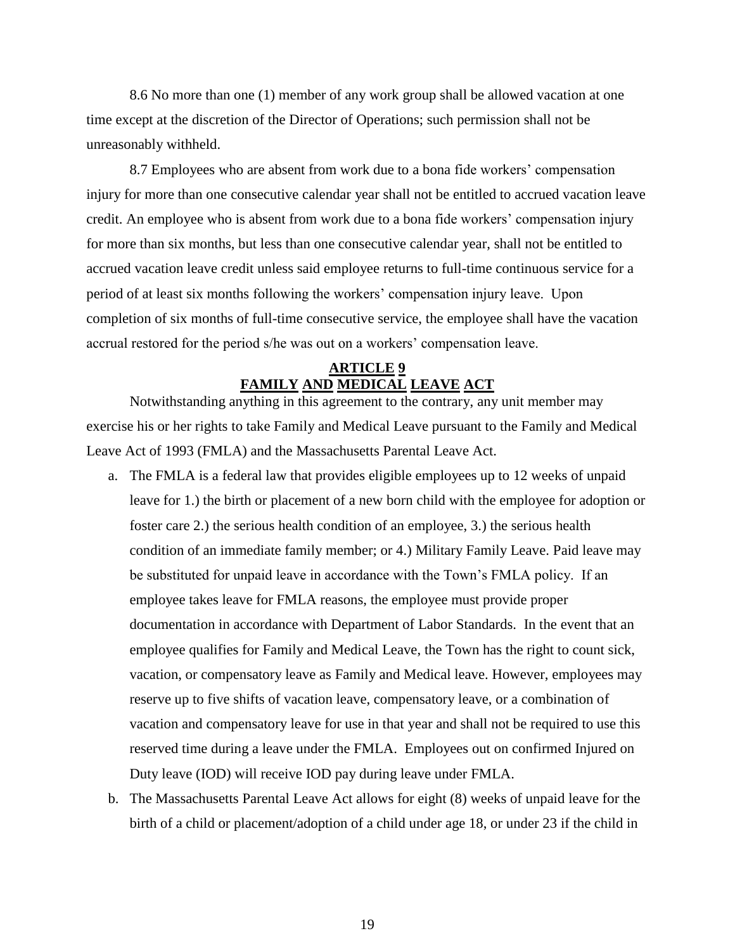8.6 No more than one (1) member of any work group shall be allowed vacation at one time except at the discretion of the Director of Operations; such permission shall not be unreasonably withheld.

8.7 Employees who are absent from work due to a bona fide workers' compensation injury for more than one consecutive calendar year shall not be entitled to accrued vacation leave credit. An employee who is absent from work due to a bona fide workers' compensation injury for more than six months, but less than one consecutive calendar year, shall not be entitled to accrued vacation leave credit unless said employee returns to full-time continuous service for a period of at least six months following the workers' compensation injury leave. Upon completion of six months of full-time consecutive service, the employee shall have the vacation accrual restored for the period s/he was out on a workers' compensation leave.

# **ARTICLE 9 FAMILY AND MEDICAL LEAVE ACT**

Notwithstanding anything in this agreement to the contrary, any unit member may exercise his or her rights to take Family and Medical Leave pursuant to the Family and Medical Leave Act of 1993 (FMLA) and the Massachusetts Parental Leave Act.

- a. The FMLA is a federal law that provides eligible employees up to 12 weeks of unpaid leave for 1.) the birth or placement of a new born child with the employee for adoption or foster care 2.) the serious health condition of an employee, 3.) the serious health condition of an immediate family member; or 4.) Military Family Leave. Paid leave may be substituted for unpaid leave in accordance with the Town's FMLA policy. If an employee takes leave for FMLA reasons, the employee must provide proper documentation in accordance with Department of Labor Standards. In the event that an employee qualifies for Family and Medical Leave, the Town has the right to count sick, vacation, or compensatory leave as Family and Medical leave. However, employees may reserve up to five shifts of vacation leave, compensatory leave, or a combination of vacation and compensatory leave for use in that year and shall not be required to use this reserved time during a leave under the FMLA. Employees out on confirmed Injured on Duty leave (IOD) will receive IOD pay during leave under FMLA.
- b. The Massachusetts Parental Leave Act allows for eight (8) weeks of unpaid leave for the birth of a child or placement/adoption of a child under age 18, or under 23 if the child in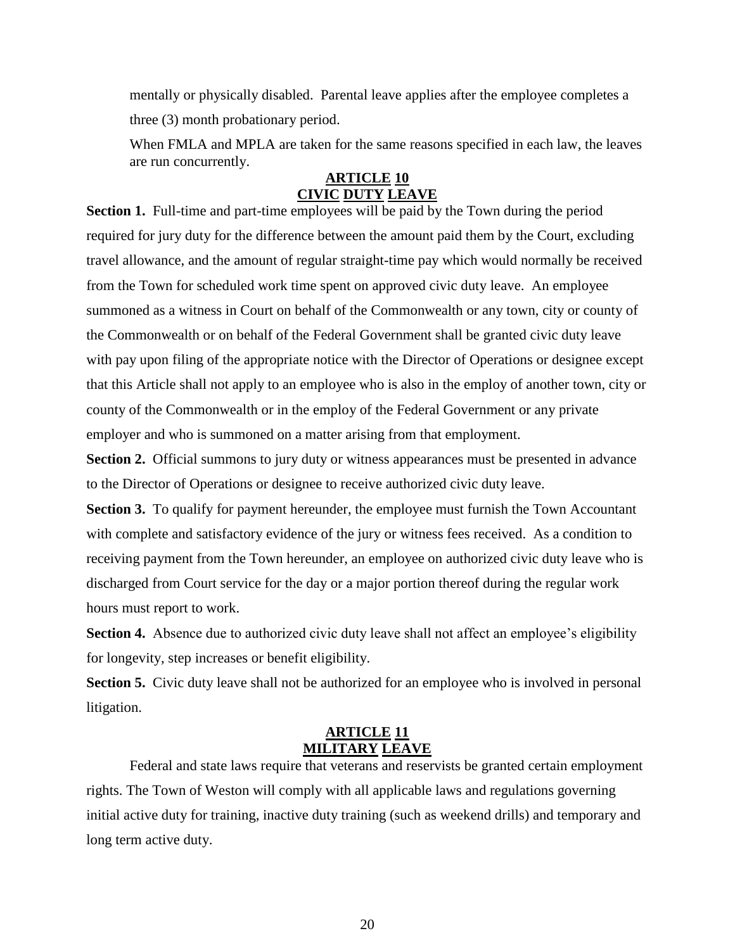mentally or physically disabled. Parental leave applies after the employee completes a three (3) month probationary period.

When FMLA and MPLA are taken for the same reasons specified in each law, the leaves are run concurrently.

### **ARTICLE 10 CIVIC DUTY LEAVE**

**Section 1.** Full-time and part-time employees will be paid by the Town during the period required for jury duty for the difference between the amount paid them by the Court, excluding travel allowance, and the amount of regular straight-time pay which would normally be received from the Town for scheduled work time spent on approved civic duty leave. An employee summoned as a witness in Court on behalf of the Commonwealth or any town, city or county of the Commonwealth or on behalf of the Federal Government shall be granted civic duty leave with pay upon filing of the appropriate notice with the Director of Operations or designee except that this Article shall not apply to an employee who is also in the employ of another town, city or county of the Commonwealth or in the employ of the Federal Government or any private employer and who is summoned on a matter arising from that employment.

**Section 2.** Official summons to jury duty or witness appearances must be presented in advance to the Director of Operations or designee to receive authorized civic duty leave.

**Section 3.** To qualify for payment hereunder, the employee must furnish the Town Accountant with complete and satisfactory evidence of the jury or witness fees received. As a condition to receiving payment from the Town hereunder, an employee on authorized civic duty leave who is discharged from Court service for the day or a major portion thereof during the regular work hours must report to work.

**Section 4.** Absence due to authorized civic duty leave shall not affect an employee's eligibility for longevity, step increases or benefit eligibility.

**Section 5.** Civic duty leave shall not be authorized for an employee who is involved in personal litigation.

## **ARTICLE 11 MILITARY LEAVE**

Federal and state laws require that veterans and reservists be granted certain employment rights. The Town of Weston will comply with all applicable laws and regulations governing initial active duty for training, inactive duty training (such as weekend drills) and temporary and long term active duty.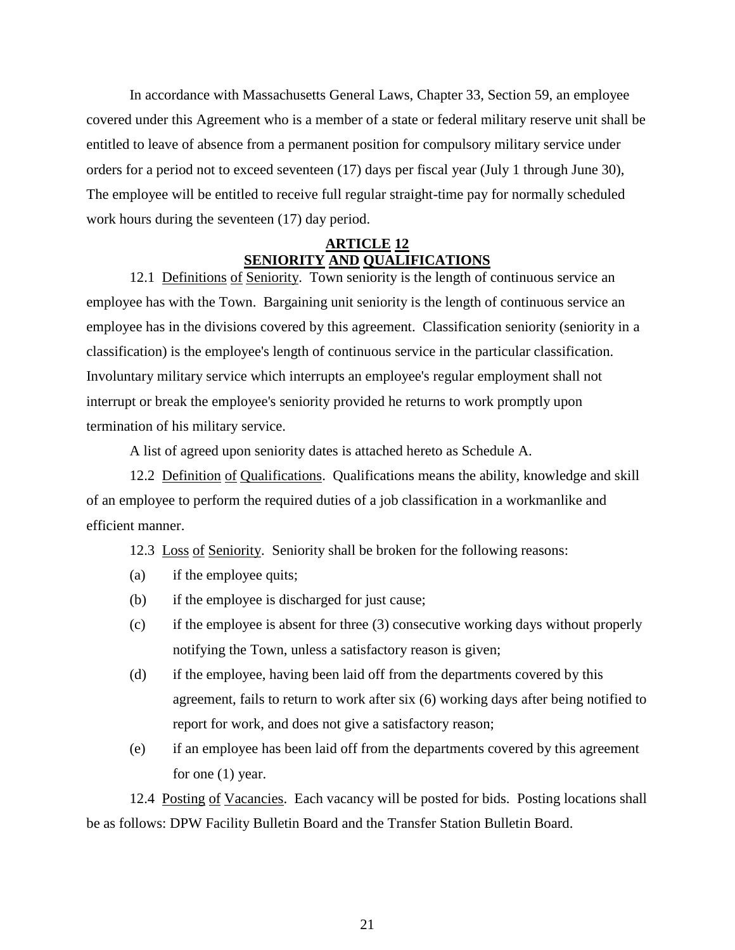In accordance with Massachusetts General Laws, Chapter 33, Section 59, an employee covered under this Agreement who is a member of a state or federal military reserve unit shall be entitled to leave of absence from a permanent position for compulsory military service under orders for a period not to exceed seventeen (17) days per fiscal year (July 1 through June 30), The employee will be entitled to receive full regular straight-time pay for normally scheduled work hours during the seventeen (17) day period.

## **ARTICLE 12 SENIORITY AND QUALIFICATIONS**

12.1 Definitions of Seniority. Town seniority is the length of continuous service an employee has with the Town. Bargaining unit seniority is the length of continuous service an employee has in the divisions covered by this agreement. Classification seniority (seniority in a classification) is the employee's length of continuous service in the particular classification. Involuntary military service which interrupts an employee's regular employment shall not interrupt or break the employee's seniority provided he returns to work promptly upon termination of his military service.

A list of agreed upon seniority dates is attached hereto as Schedule A.

12.2 Definition of Qualifications. Qualifications means the ability, knowledge and skill of an employee to perform the required duties of a job classification in a workmanlike and efficient manner.

12.3 Loss of Seniority. Seniority shall be broken for the following reasons:

- (a) if the employee quits;
- (b) if the employee is discharged for just cause;
- (c) if the employee is absent for three (3) consecutive working days without properly notifying the Town, unless a satisfactory reason is given;
- (d) if the employee, having been laid off from the departments covered by this agreement, fails to return to work after six (6) working days after being notified to report for work, and does not give a satisfactory reason;
- (e) if an employee has been laid off from the departments covered by this agreement for one (1) year.

12.4 Posting of Vacancies. Each vacancy will be posted for bids. Posting locations shall be as follows: DPW Facility Bulletin Board and the Transfer Station Bulletin Board.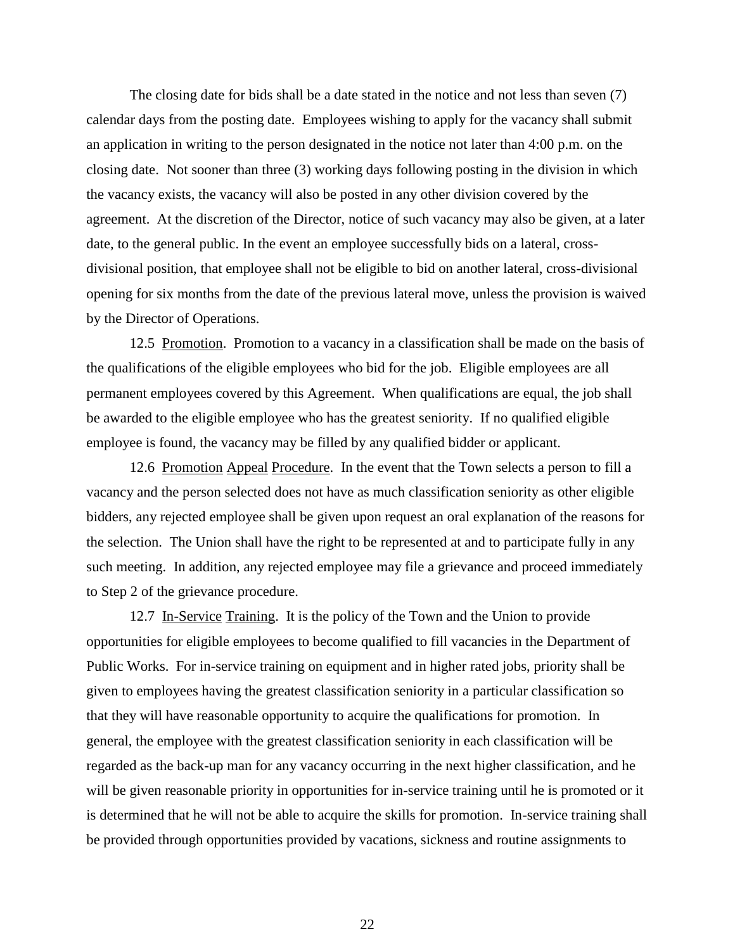The closing date for bids shall be a date stated in the notice and not less than seven (7) calendar days from the posting date. Employees wishing to apply for the vacancy shall submit an application in writing to the person designated in the notice not later than 4:00 p.m. on the closing date. Not sooner than three (3) working days following posting in the division in which the vacancy exists, the vacancy will also be posted in any other division covered by the agreement. At the discretion of the Director, notice of such vacancy may also be given, at a later date, to the general public. In the event an employee successfully bids on a lateral, crossdivisional position, that employee shall not be eligible to bid on another lateral, cross-divisional opening for six months from the date of the previous lateral move, unless the provision is waived by the Director of Operations.

12.5 Promotion. Promotion to a vacancy in a classification shall be made on the basis of the qualifications of the eligible employees who bid for the job. Eligible employees are all permanent employees covered by this Agreement. When qualifications are equal, the job shall be awarded to the eligible employee who has the greatest seniority. If no qualified eligible employee is found, the vacancy may be filled by any qualified bidder or applicant.

12.6 Promotion Appeal Procedure. In the event that the Town selects a person to fill a vacancy and the person selected does not have as much classification seniority as other eligible bidders, any rejected employee shall be given upon request an oral explanation of the reasons for the selection. The Union shall have the right to be represented at and to participate fully in any such meeting. In addition, any rejected employee may file a grievance and proceed immediately to Step 2 of the grievance procedure.

12.7 In-Service Training. It is the policy of the Town and the Union to provide opportunities for eligible employees to become qualified to fill vacancies in the Department of Public Works. For in-service training on equipment and in higher rated jobs, priority shall be given to employees having the greatest classification seniority in a particular classification so that they will have reasonable opportunity to acquire the qualifications for promotion. In general, the employee with the greatest classification seniority in each classification will be regarded as the back-up man for any vacancy occurring in the next higher classification, and he will be given reasonable priority in opportunities for in-service training until he is promoted or it is determined that he will not be able to acquire the skills for promotion. In-service training shall be provided through opportunities provided by vacations, sickness and routine assignments to

22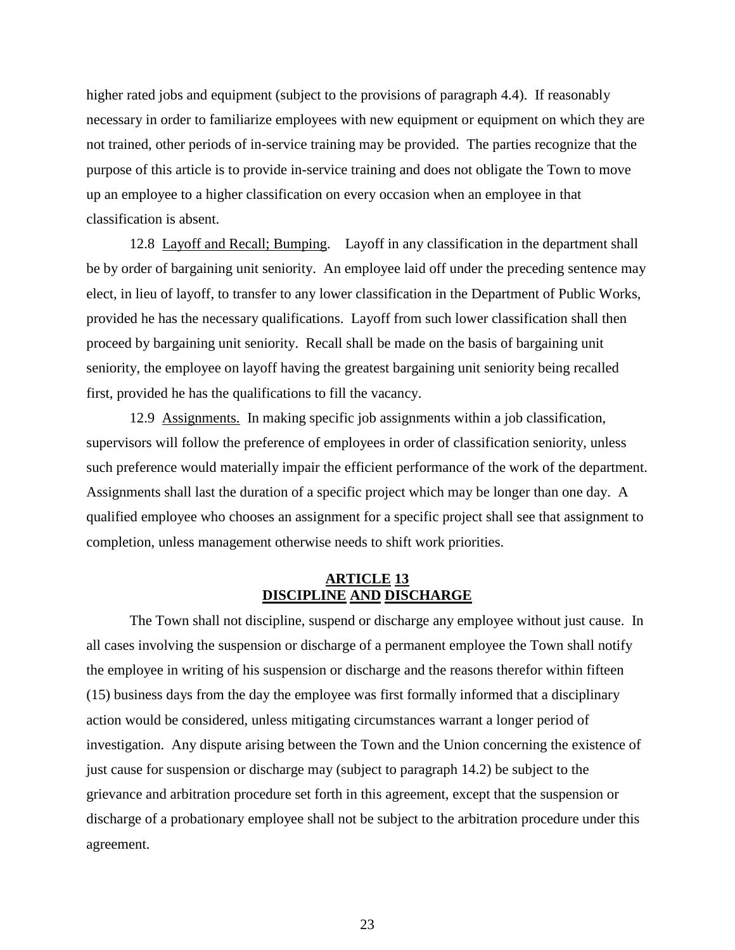higher rated jobs and equipment (subject to the provisions of paragraph 4.4). If reasonably necessary in order to familiarize employees with new equipment or equipment on which they are not trained, other periods of in-service training may be provided. The parties recognize that the purpose of this article is to provide in-service training and does not obligate the Town to move up an employee to a higher classification on every occasion when an employee in that classification is absent.

12.8 Layoff and Recall; Bumping. Layoff in any classification in the department shall be by order of bargaining unit seniority. An employee laid off under the preceding sentence may elect, in lieu of layoff, to transfer to any lower classification in the Department of Public Works, provided he has the necessary qualifications. Layoff from such lower classification shall then proceed by bargaining unit seniority. Recall shall be made on the basis of bargaining unit seniority, the employee on layoff having the greatest bargaining unit seniority being recalled first, provided he has the qualifications to fill the vacancy.

12.9 Assignments. In making specific job assignments within a job classification, supervisors will follow the preference of employees in order of classification seniority, unless such preference would materially impair the efficient performance of the work of the department. Assignments shall last the duration of a specific project which may be longer than one day. A qualified employee who chooses an assignment for a specific project shall see that assignment to completion, unless management otherwise needs to shift work priorities.

#### **ARTICLE 13 DISCIPLINE AND DISCHARGE**

The Town shall not discipline, suspend or discharge any employee without just cause. In all cases involving the suspension or discharge of a permanent employee the Town shall notify the employee in writing of his suspension or discharge and the reasons therefor within fifteen (15) business days from the day the employee was first formally informed that a disciplinary action would be considered, unless mitigating circumstances warrant a longer period of investigation. Any dispute arising between the Town and the Union concerning the existence of just cause for suspension or discharge may (subject to paragraph 14.2) be subject to the grievance and arbitration procedure set forth in this agreement, except that the suspension or discharge of a probationary employee shall not be subject to the arbitration procedure under this agreement.

23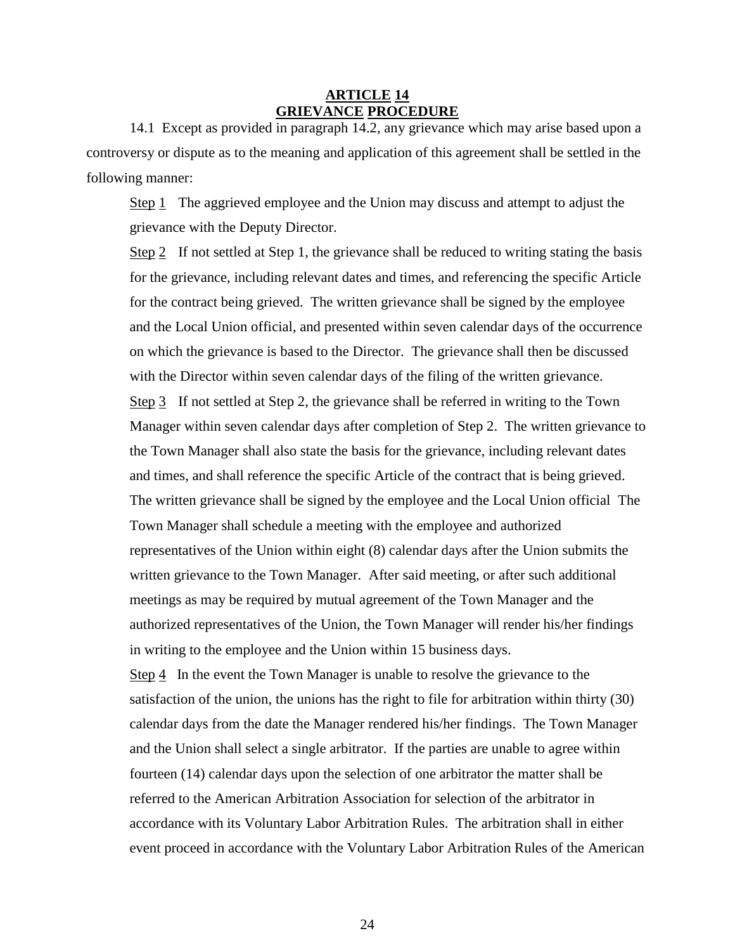### **ARTICLE 14 GRIEVANCE PROCEDURE**

14.1 Except as provided in paragraph 14.2, any grievance which may arise based upon a controversy or dispute as to the meaning and application of this agreement shall be settled in the following manner:

Step 1 The aggrieved employee and the Union may discuss and attempt to adjust the grievance with the Deputy Director.

Step 2 If not settled at Step 1, the grievance shall be reduced to writing stating the basis for the grievance, including relevant dates and times, and referencing the specific Article for the contract being grieved. The written grievance shall be signed by the employee and the Local Union official, and presented within seven calendar days of the occurrence on which the grievance is based to the Director. The grievance shall then be discussed with the Director within seven calendar days of the filing of the written grievance. Step 3 If not settled at Step 2, the grievance shall be referred in writing to the Town Manager within seven calendar days after completion of Step 2. The written grievance to the Town Manager shall also state the basis for the grievance, including relevant dates and times, and shall reference the specific Article of the contract that is being grieved. The written grievance shall be signed by the employee and the Local Union official The Town Manager shall schedule a meeting with the employee and authorized representatives of the Union within eight (8) calendar days after the Union submits the written grievance to the Town Manager. After said meeting, or after such additional meetings as may be required by mutual agreement of the Town Manager and the authorized representatives of the Union, the Town Manager will render his/her findings in writing to the employee and the Union within 15 business days.

Step  $\frac{4}{5}$  In the event the Town Manager is unable to resolve the grievance to the satisfaction of the union, the unions has the right to file for arbitration within thirty (30) calendar days from the date the Manager rendered his/her findings. The Town Manager and the Union shall select a single arbitrator. If the parties are unable to agree within fourteen (14) calendar days upon the selection of one arbitrator the matter shall be referred to the American Arbitration Association for selection of the arbitrator in accordance with its Voluntary Labor Arbitration Rules. The arbitration shall in either event proceed in accordance with the Voluntary Labor Arbitration Rules of the American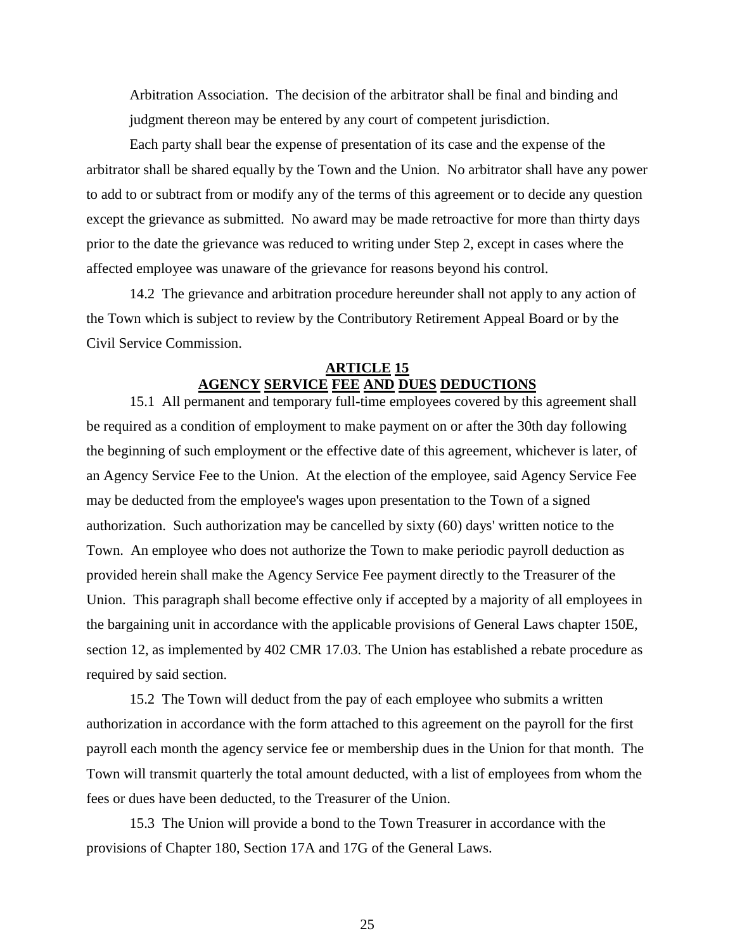Arbitration Association. The decision of the arbitrator shall be final and binding and judgment thereon may be entered by any court of competent jurisdiction.

Each party shall bear the expense of presentation of its case and the expense of the arbitrator shall be shared equally by the Town and the Union. No arbitrator shall have any power to add to or subtract from or modify any of the terms of this agreement or to decide any question except the grievance as submitted. No award may be made retroactive for more than thirty days prior to the date the grievance was reduced to writing under Step 2, except in cases where the affected employee was unaware of the grievance for reasons beyond his control.

14.2 The grievance and arbitration procedure hereunder shall not apply to any action of the Town which is subject to review by the Contributory Retirement Appeal Board or by the Civil Service Commission.

## **ARTICLE 15 AGENCY SERVICE FEE AND DUES DEDUCTIONS**

15.1 All permanent and temporary full-time employees covered by this agreement shall be required as a condition of employment to make payment on or after the 30th day following the beginning of such employment or the effective date of this agreement, whichever is later, of an Agency Service Fee to the Union. At the election of the employee, said Agency Service Fee may be deducted from the employee's wages upon presentation to the Town of a signed authorization. Such authorization may be cancelled by sixty (60) days' written notice to the Town. An employee who does not authorize the Town to make periodic payroll deduction as provided herein shall make the Agency Service Fee payment directly to the Treasurer of the Union. This paragraph shall become effective only if accepted by a majority of all employees in the bargaining unit in accordance with the applicable provisions of General Laws chapter 150E, section 12, as implemented by 402 CMR 17.03. The Union has established a rebate procedure as required by said section.

15.2 The Town will deduct from the pay of each employee who submits a written authorization in accordance with the form attached to this agreement on the payroll for the first payroll each month the agency service fee or membership dues in the Union for that month. The Town will transmit quarterly the total amount deducted, with a list of employees from whom the fees or dues have been deducted, to the Treasurer of the Union.

15.3 The Union will provide a bond to the Town Treasurer in accordance with the provisions of Chapter 180, Section 17A and 17G of the General Laws.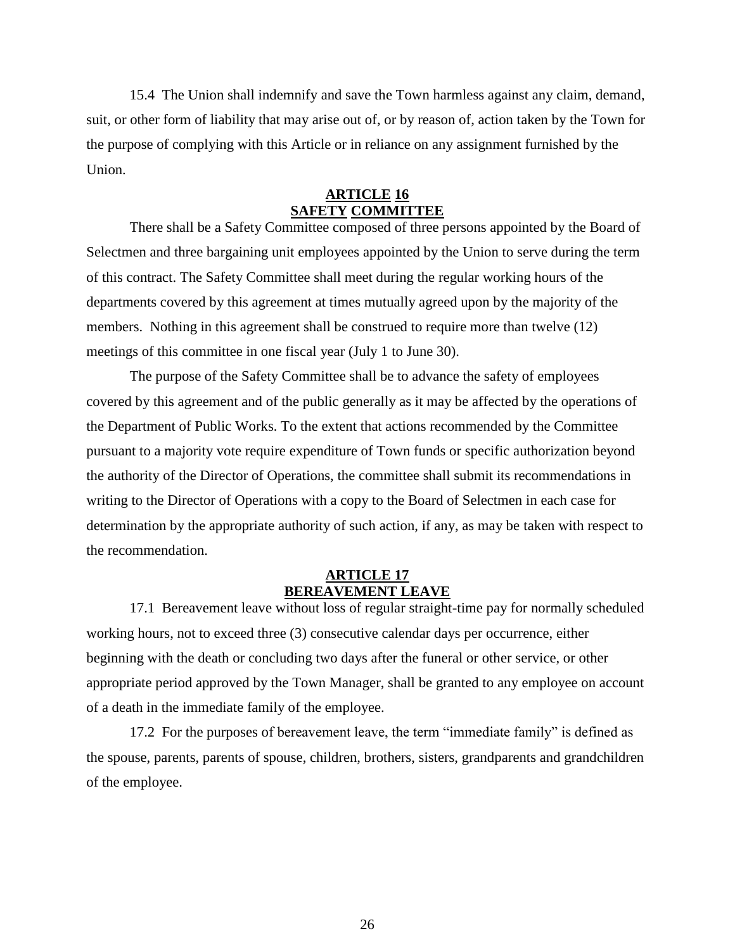15.4 The Union shall indemnify and save the Town harmless against any claim, demand, suit, or other form of liability that may arise out of, or by reason of, action taken by the Town for the purpose of complying with this Article or in reliance on any assignment furnished by the Union.

#### **ARTICLE 16 SAFETY COMMITTEE**

There shall be a Safety Committee composed of three persons appointed by the Board of Selectmen and three bargaining unit employees appointed by the Union to serve during the term of this contract. The Safety Committee shall meet during the regular working hours of the departments covered by this agreement at times mutually agreed upon by the majority of the members. Nothing in this agreement shall be construed to require more than twelve (12) meetings of this committee in one fiscal year (July 1 to June 30).

The purpose of the Safety Committee shall be to advance the safety of employees covered by this agreement and of the public generally as it may be affected by the operations of the Department of Public Works. To the extent that actions recommended by the Committee pursuant to a majority vote require expenditure of Town funds or specific authorization beyond the authority of the Director of Operations, the committee shall submit its recommendations in writing to the Director of Operations with a copy to the Board of Selectmen in each case for determination by the appropriate authority of such action, if any, as may be taken with respect to the recommendation.

#### **ARTICLE 17 BEREAVEMENT LEAVE**

17.1 Bereavement leave without loss of regular straight-time pay for normally scheduled working hours, not to exceed three (3) consecutive calendar days per occurrence, either beginning with the death or concluding two days after the funeral or other service, or other appropriate period approved by the Town Manager, shall be granted to any employee on account of a death in the immediate family of the employee.

17.2 For the purposes of bereavement leave, the term "immediate family" is defined as the spouse, parents, parents of spouse, children, brothers, sisters, grandparents and grandchildren of the employee.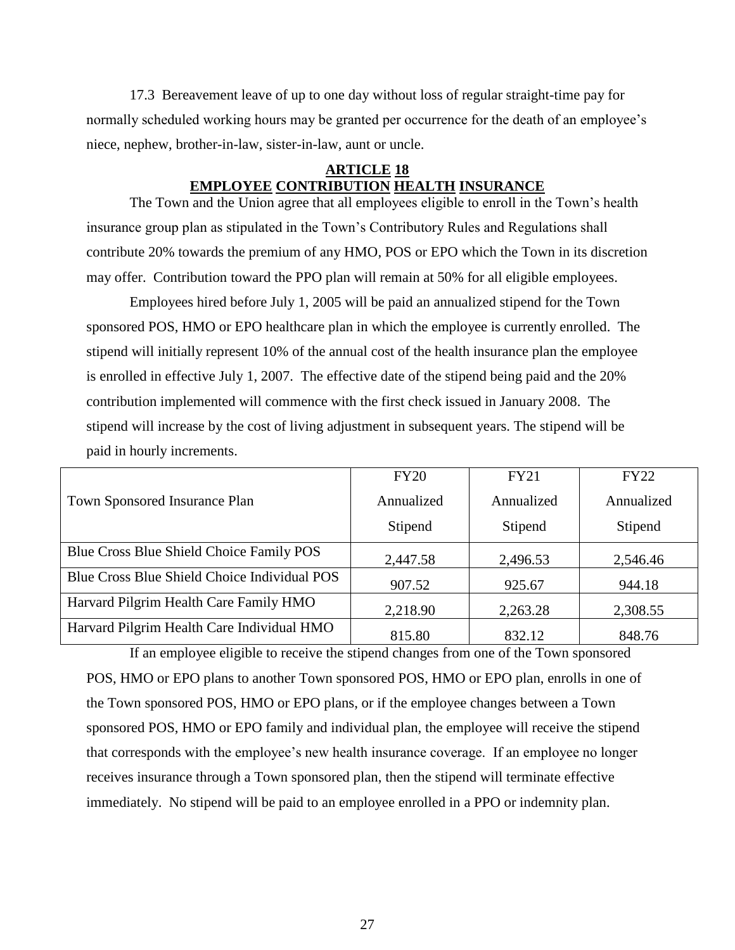17.3 Bereavement leave of up to one day without loss of regular straight-time pay for normally scheduled working hours may be granted per occurrence for the death of an employee's niece, nephew, brother-in-law, sister-in-law, aunt or uncle.

#### **ARTICLE 18 EMPLOYEE CONTRIBUTION HEALTH INSURANCE**

The Town and the Union agree that all employees eligible to enroll in the Town's health insurance group plan as stipulated in the Town's Contributory Rules and Regulations shall contribute 20% towards the premium of any HMO, POS or EPO which the Town in its discretion may offer. Contribution toward the PPO plan will remain at 50% for all eligible employees.

Employees hired before July 1, 2005 will be paid an annualized stipend for the Town sponsored POS, HMO or EPO healthcare plan in which the employee is currently enrolled. The stipend will initially represent 10% of the annual cost of the health insurance plan the employee is enrolled in effective July 1, 2007. The effective date of the stipend being paid and the 20% contribution implemented will commence with the first check issued in January 2008. The stipend will increase by the cost of living adjustment in subsequent years. The stipend will be paid in hourly increments.

|                                              | <b>FY20</b> | <b>FY21</b> | <b>FY22</b> |
|----------------------------------------------|-------------|-------------|-------------|
| <b>Town Sponsored Insurance Plan</b>         | Annualized  | Annualized  | Annualized  |
|                                              | Stipend     | Stipend     | Stipend     |
| Blue Cross Blue Shield Choice Family POS     | 2,447.58    | 2,496.53    | 2,546.46    |
| Blue Cross Blue Shield Choice Individual POS | 907.52      | 925.67      | 944.18      |
| Harvard Pilgrim Health Care Family HMO       | 2,218.90    | 2,263.28    | 2,308.55    |
| Harvard Pilgrim Health Care Individual HMO   | 815.80      | 832.12      | 848.76      |

If an employee eligible to receive the stipend changes from one of the Town sponsored POS, HMO or EPO plans to another Town sponsored POS, HMO or EPO plan, enrolls in one of the Town sponsored POS, HMO or EPO plans, or if the employee changes between a Town sponsored POS, HMO or EPO family and individual plan, the employee will receive the stipend that corresponds with the employee's new health insurance coverage. If an employee no longer receives insurance through a Town sponsored plan, then the stipend will terminate effective immediately. No stipend will be paid to an employee enrolled in a PPO or indemnity plan.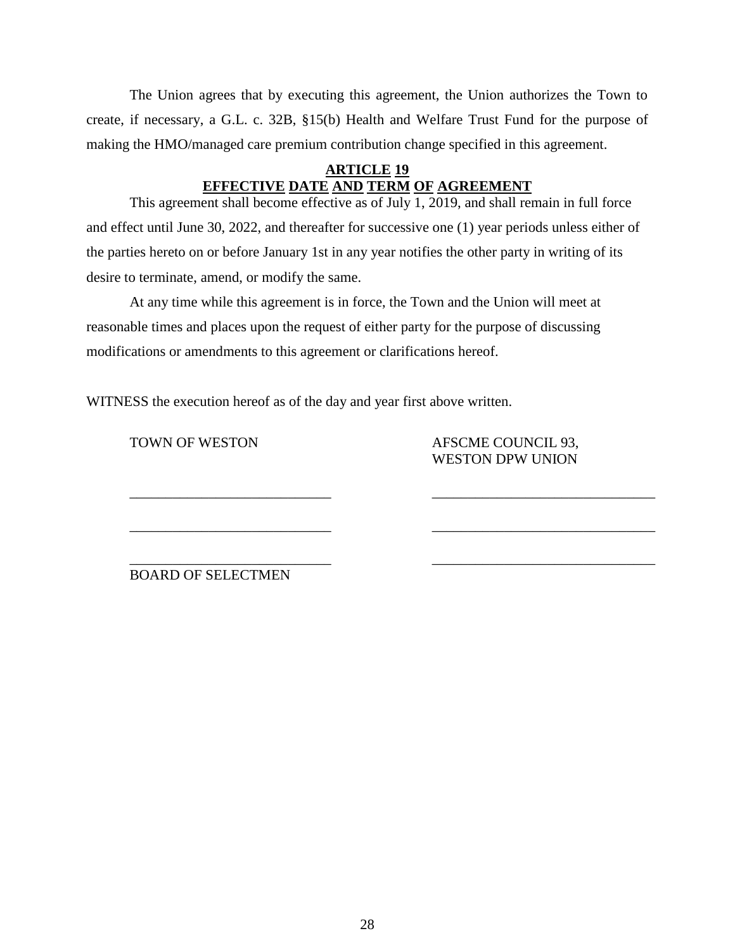The Union agrees that by executing this agreement, the Union authorizes the Town to create, if necessary, a G.L. c. 32B, §15(b) Health and Welfare Trust Fund for the purpose of making the HMO/managed care premium contribution change specified in this agreement.

# **ARTICLE 19 EFFECTIVE DATE AND TERM OF AGREEMENT**

This agreement shall become effective as of July  $\overline{1, 2019}$ , and shall remain in full force and effect until June 30, 2022, and thereafter for successive one (1) year periods unless either of the parties hereto on or before January 1st in any year notifies the other party in writing of its desire to terminate, amend, or modify the same.

\_\_\_\_\_\_\_\_\_\_\_\_\_\_\_\_\_\_\_\_\_\_\_\_\_\_\_\_ \_\_\_\_\_\_\_\_\_\_\_\_\_\_\_\_\_\_\_\_\_\_\_\_\_\_\_\_\_\_\_

 $\overline{\phantom{a}}$  , and the contribution of the contribution of the contribution of the contribution of the contribution of the contribution of the contribution of the contribution of the contribution of the contribution of the

At any time while this agreement is in force, the Town and the Union will meet at reasonable times and places upon the request of either party for the purpose of discussing modifications or amendments to this agreement or clarifications hereof.

WITNESS the execution hereof as of the day and year first above written.

TOWN OF WESTON AFSCME COUNCIL 93, WESTON DPW UNION

\_\_\_\_\_\_\_\_\_\_\_\_\_\_\_\_\_\_\_\_\_\_\_\_\_\_\_\_ \_\_\_\_\_\_\_\_\_\_\_\_\_\_\_\_\_\_\_\_\_\_\_\_\_\_\_\_\_\_\_ BOARD OF SELECTMEN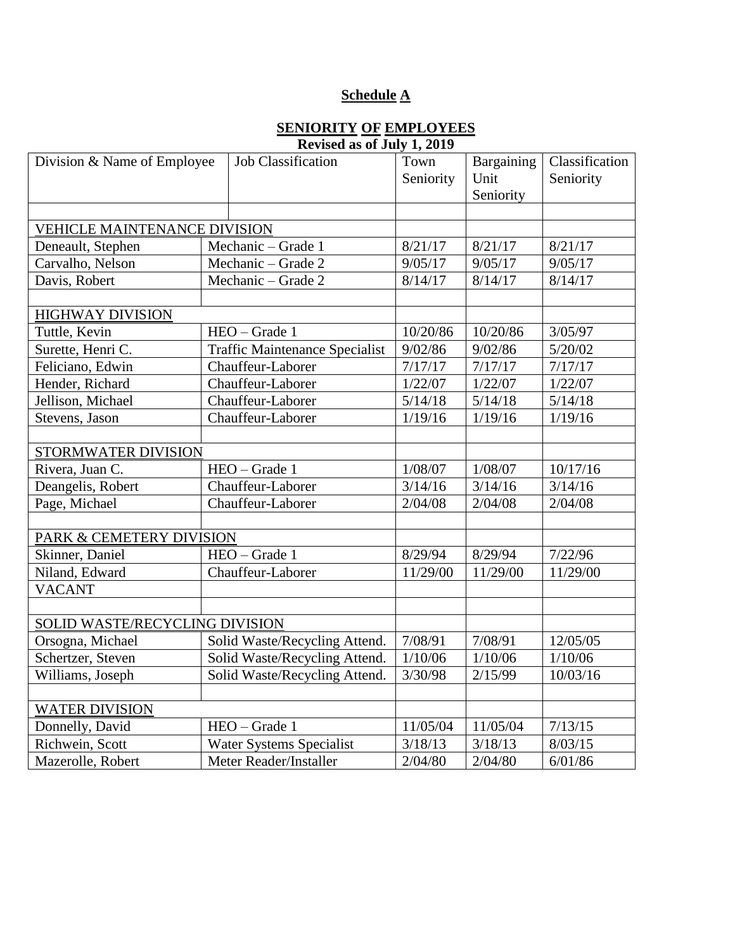# **Schedule A**

### **SENIORITY OF EMPLOYEES Revised as of July 1, 2019**

| Division & Name of Employee                 | Job Classification                    | Town      | Bargaining | Classification |
|---------------------------------------------|---------------------------------------|-----------|------------|----------------|
|                                             |                                       | Seniority | Unit       | Seniority      |
|                                             |                                       |           | Seniority  |                |
|                                             |                                       |           |            |                |
| VEHICLE MAINTENANCE DIVISION                |                                       |           |            |                |
| Deneault, Stephen                           | Mechanic - Grade 1                    | 8/21/17   | 8/21/17    | 8/21/17        |
| Carvalho, Nelson                            | Mechanic - Grade 2                    | 9/05/17   | 9/05/17    | 9/05/17        |
| Davis, Robert                               | Mechanic – Grade 2                    | 8/14/17   | 8/14/17    | 8/14/17        |
|                                             |                                       |           |            |                |
| <b>HIGHWAY DIVISION</b>                     |                                       |           |            |                |
| Tuttle, Kevin                               | HEO - Grade 1                         | 10/20/86  | 10/20/86   | 3/05/97        |
| Surette, Henri C.                           | <b>Traffic Maintenance Specialist</b> | 9/02/86   | 9/02/86    | 5/20/02        |
| Feliciano, Edwin                            | Chauffeur-Laborer                     | 7/17/17   | 7/17/17    | 7/17/17        |
| Hender, Richard                             | Chauffeur-Laborer                     | 1/22/07   | 1/22/07    | 1/22/07        |
| Jellison, Michael                           | Chauffeur-Laborer                     | 5/14/18   | 5/14/18    | 5/14/18        |
| Stevens, Jason                              | Chauffeur-Laborer                     | 1/19/16   | 1/19/16    | 1/19/16        |
|                                             |                                       |           |            |                |
| STORMWATER DIVISION                         |                                       |           |            |                |
| Rivera, Juan C.                             | HEO - Grade 1                         | 1/08/07   | 1/08/07    | 10/17/16       |
| Deangelis, Robert                           | Chauffeur-Laborer                     | 3/14/16   | 3/14/16    | 3/14/16        |
| Page, Michael                               | Chauffeur-Laborer                     | 2/04/08   | 2/04/08    | 2/04/08        |
|                                             |                                       |           |            |                |
| PARK & CEMETERY DIVISION                    |                                       |           |            |                |
| Skinner, Daniel                             | HEO - Grade 1                         | 8/29/94   | 8/29/94    | 7/22/96        |
| Niland, Edward                              | Chauffeur-Laborer                     | 11/29/00  | 11/29/00   | 11/29/00       |
| <b>VACANT</b>                               |                                       |           |            |                |
|                                             |                                       |           |            |                |
| SOLID WASTE/RECYCLING DIVISION              |                                       |           |            |                |
| Orsogna, Michael                            | Solid Waste/Recycling Attend.         | 7/08/91   | 7/08/91    | 12/05/05       |
| Schertzer, Steven                           | Solid Waste/Recycling Attend.         | 1/10/06   | 1/10/06    | 1/10/06        |
| Williams, Joseph                            | Solid Waste/Recycling Attend.         | 3/30/98   | 2/15/99    | 10/03/16       |
|                                             |                                       |           |            |                |
| <b>WATER DIVISION</b>                       |                                       |           |            |                |
| Donnelly, David<br>HEO - Grade 1            |                                       | 11/05/04  | 11/05/04   | 7/13/15        |
| Richwein, Scott<br>Water Systems Specialist |                                       | 3/18/13   | 3/18/13    | 8/03/15        |
| Mazerolle, Robert<br>Meter Reader/Installer |                                       | 2/04/80   | 2/04/80    | 6/01/86        |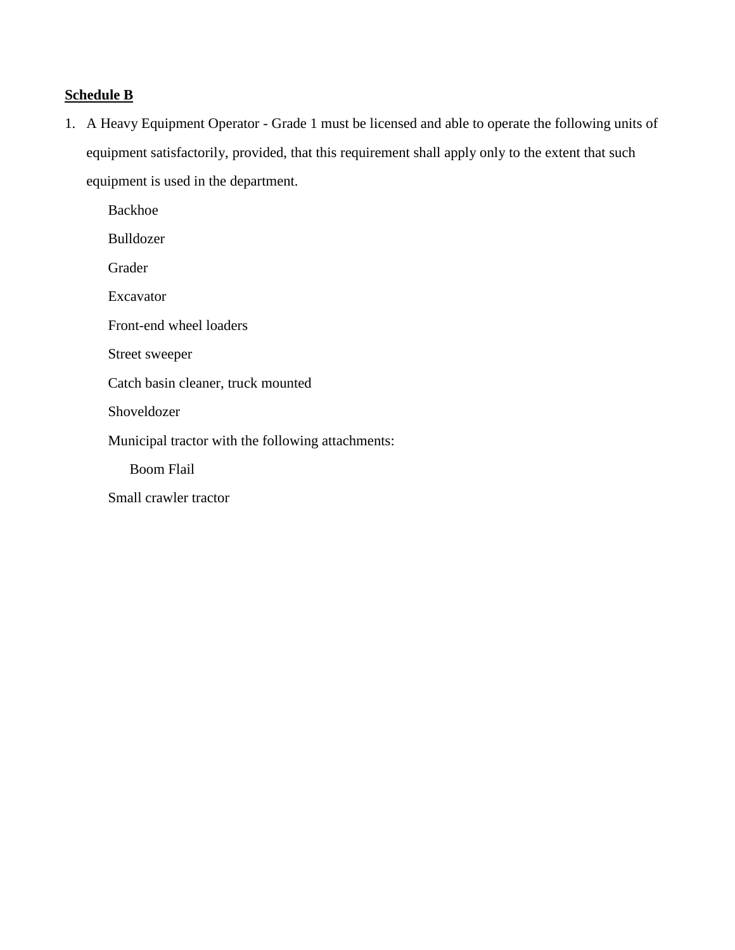# **Schedule B**

1. A Heavy Equipment Operator - Grade 1 must be licensed and able to operate the following units of equipment satisfactorily, provided, that this requirement shall apply only to the extent that such equipment is used in the department.

Backhoe Bulldozer Grader Excavator Front-end wheel loaders Street sweeper Catch basin cleaner, truck mounted Shoveldozer Municipal tractor with the following attachments: Boom Flail Small crawler tractor